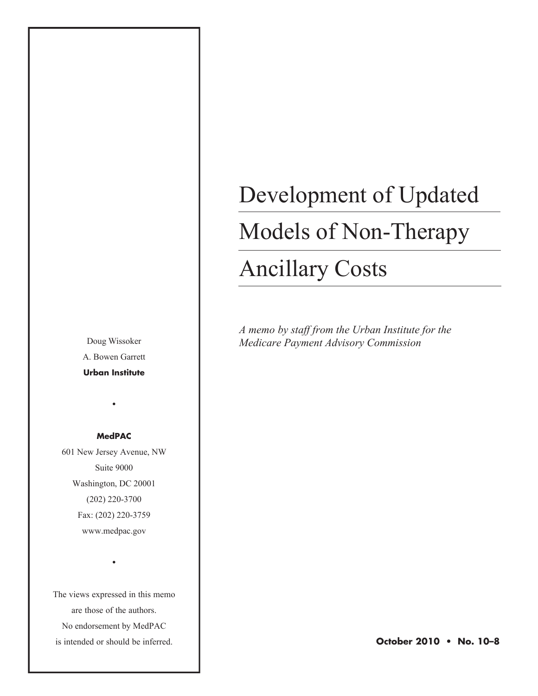A. Bowen Garrett **Urban Institute**

•

**MedPAC**

601 New Jersey Avenue, NW Suite 9000 Washington, DC 20001 (202) 220-3700 Fax: (202) 220-3759

www.medpac.gov

•

The views expressed in this memo are those of the authors. No endorsement by MedPAC is intended or should be inferred.

# Development of Updated

# Models of Non-Therapy

# Ancillary Costs

*A memo by staff from the Urban Institute for the*  Doug Wissoker *Medicare Payment Advisory Commission*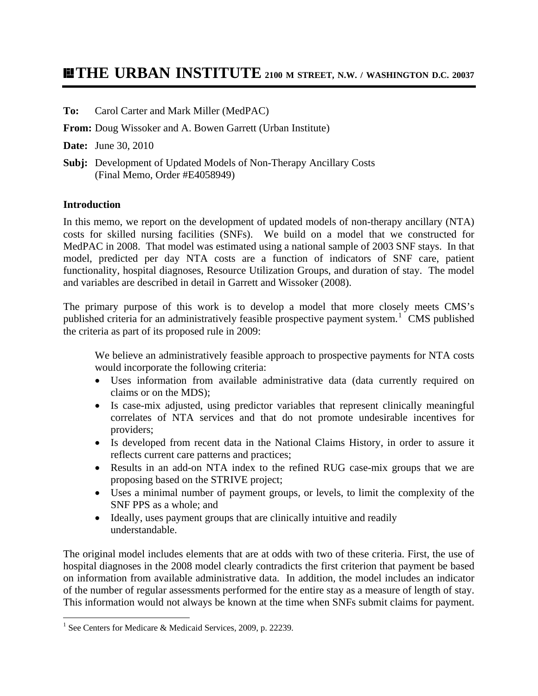## **THE URBAN INSTITUTE 2100 M STREET, N.W. / WASHINGTON D.C. 20037**

#### **To:** Carol Carter and Mark Miller (MedPAC)

**From:** Doug Wissoker and A. Bowen Garrett (Urban Institute)

**Date:** June 30, 2010

**Subj:** Development of Updated Models of Non-Therapy Ancillary Costs (Final Memo, Order #E4058949)

#### **Introduction**

In this memo, we report on the development of updated models of non-therapy ancillary (NTA) costs for skilled nursing facilities (SNFs). We build on a model that we constructed for MedPAC in 2008. That model was estimated using a national sample of 2003 SNF stays. In that model, predicted per day NTA costs are a function of indicators of SNF care, patient functionality, hospital diagnoses, Resource Utilization Groups, and duration of stay. The model and variables are described in detail in Garrett and Wissoker (2008).

The primary purpose of this work is to develop a model that more closely meets CMS's published criteria for an administratively feasible prospective payment system.<sup>[1](#page-1-0)</sup> CMS published the criteria as part of its proposed rule in 2009:

We believe an administratively feasible approach to prospective payments for NTA costs would incorporate the following criteria:

- Uses information from available administrative data (data currently required on claims or on the MDS);
- Is case-mix adjusted, using predictor variables that represent clinically meaningful correlates of NTA services and that do not promote undesirable incentives for providers;
- Is developed from recent data in the National Claims History, in order to assure it reflects current care patterns and practices;
- Results in an add-on NTA index to the refined RUG case-mix groups that we are proposing based on the STRIVE project;
- Uses a minimal number of payment groups, or levels, to limit the complexity of the SNF PPS as a whole; and
- Ideally, uses payment groups that are clinically intuitive and readily understandable.

The original model includes elements that are at odds with two of these criteria. First, the use of hospital diagnoses in the 2008 model clearly contradicts the first criterion that payment be based on information from available administrative data. In addition, the model includes an indicator of the number of regular assessments performed for the entire stay as a measure of length of stay. This information would not always be known at the time when SNFs submit claims for payment.

<span id="page-1-0"></span> 1 See Centers for Medicare & Medicaid Services, 2009, p. 22239.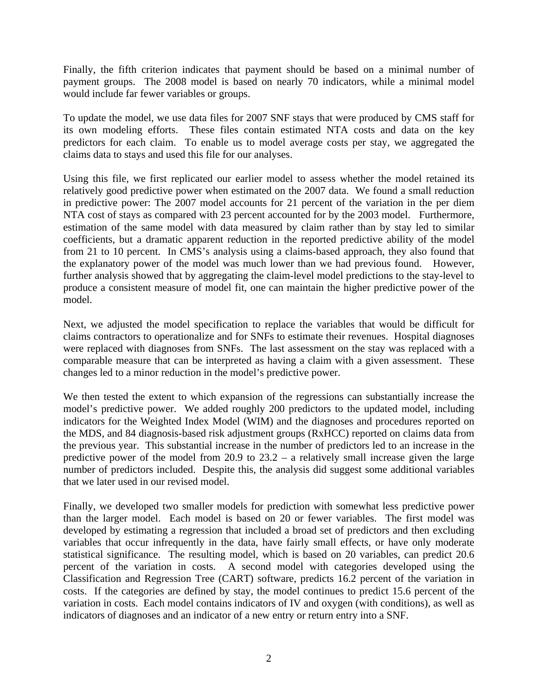Finally, the fifth criterion indicates that payment should be based on a minimal number of payment groups. The 2008 model is based on nearly 70 indicators, while a minimal model would include far fewer variables or groups.

To update the model, we use data files for 2007 SNF stays that were produced by CMS staff for its own modeling efforts. These files contain estimated NTA costs and data on the key predictors for each claim. To enable us to model average costs per stay, we aggregated the claims data to stays and used this file for our analyses.

Using this file, we first replicated our earlier model to assess whether the model retained its relatively good predictive power when estimated on the 2007 data. We found a small reduction in predictive power: The 2007 model accounts for 21 percent of the variation in the per diem NTA cost of stays as compared with 23 percent accounted for by the 2003 model. Furthermore, estimation of the same model with data measured by claim rather than by stay led to similar coefficients, but a dramatic apparent reduction in the reported predictive ability of the model from 21 to 10 percent. In CMS's analysis using a claims-based approach, they also found that the explanatory power of the model was much lower than we had previous found. However, further analysis showed that by aggregating the claim-level model predictions to the stay-level to produce a consistent measure of model fit, one can maintain the higher predictive power of the model.

Next, we adjusted the model specification to replace the variables that would be difficult for claims contractors to operationalize and for SNFs to estimate their revenues. Hospital diagnoses were replaced with diagnoses from SNFs. The last assessment on the stay was replaced with a comparable measure that can be interpreted as having a claim with a given assessment. These changes led to a minor reduction in the model's predictive power.

We then tested the extent to which expansion of the regressions can substantially increase the model's predictive power. We added roughly 200 predictors to the updated model, including indicators for the Weighted Index Model (WIM) and the diagnoses and procedures reported on the MDS, and 84 diagnosis-based risk adjustment groups (RxHCC) reported on claims data from the previous year. This substantial increase in the number of predictors led to an increase in the predictive power of the model from 20.9 to 23.2 – a relatively small increase given the large number of predictors included. Despite this, the analysis did suggest some additional variables that we later used in our revised model.

Finally, we developed two smaller models for prediction with somewhat less predictive power than the larger model. Each model is based on 20 or fewer variables. The first model was developed by estimating a regression that included a broad set of predictors and then excluding variables that occur infrequently in the data, have fairly small effects, or have only moderate statistical significance. The resulting model, which is based on 20 variables, can predict 20.6 percent of the variation in costs. A second model with categories developed using the Classification and Regression Tree (CART) software, predicts 16.2 percent of the variation in costs. If the categories are defined by stay, the model continues to predict 15.6 percent of the variation in costs. Each model contains indicators of IV and oxygen (with conditions), as well as indicators of diagnoses and an indicator of a new entry or return entry into a SNF.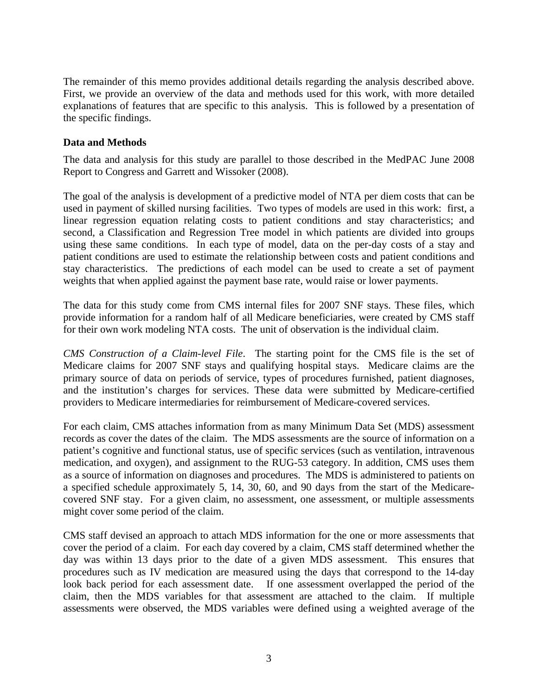The remainder of this memo provides additional details regarding the analysis described above. First, we provide an overview of the data and methods used for this work, with more detailed explanations of features that are specific to this analysis. This is followed by a presentation of the specific findings.

#### **Data and Methods**

The data and analysis for this study are parallel to those described in the MedPAC June 2008 Report to Congress and Garrett and Wissoker (2008).

The goal of the analysis is development of a predictive model of NTA per diem costs that can be used in payment of skilled nursing facilities. Two types of models are used in this work: first, a linear regression equation relating costs to patient conditions and stay characteristics; and second, a Classification and Regression Tree model in which patients are divided into groups using these same conditions. In each type of model, data on the per-day costs of a stay and patient conditions are used to estimate the relationship between costs and patient conditions and stay characteristics. The predictions of each model can be used to create a set of payment weights that when applied against the payment base rate, would raise or lower payments.

The data for this study come from CMS internal files for 2007 SNF stays. These files, which provide information for a random half of all Medicare beneficiaries, were created by CMS staff for their own work modeling NTA costs. The unit of observation is the individual claim.

*CMS Construction of a Claim-level File*. The starting point for the CMS file is the set of Medicare claims for 2007 SNF stays and qualifying hospital stays. Medicare claims are the primary source of data on periods of service, types of procedures furnished, patient diagnoses, and the institution's charges for services. These data were submitted by Medicare-certified providers to Medicare intermediaries for reimbursement of Medicare-covered services.

For each claim, CMS attaches information from as many Minimum Data Set (MDS) assessment records as cover the dates of the claim. The MDS assessments are the source of information on a patient's cognitive and functional status, use of specific services (such as ventilation, intravenous medication, and oxygen), and assignment to the RUG-53 category. In addition, CMS uses them as a source of information on diagnoses and procedures. The MDS is administered to patients on a specified schedule approximately 5, 14, 30, 60, and 90 days from the start of the Medicarecovered SNF stay. For a given claim, no assessment, one assessment, or multiple assessments might cover some period of the claim.

CMS staff devised an approach to attach MDS information for the one or more assessments that cover the period of a claim. For each day covered by a claim, CMS staff determined whether the day was within 13 days prior to the date of a given MDS assessment. This ensures that procedures such as IV medication are measured using the days that correspond to the 14-day look back period for each assessment date. If one assessment overlapped the period of the claim, then the MDS variables for that assessment are attached to the claim. If multiple assessments were observed, the MDS variables were defined using a weighted average of the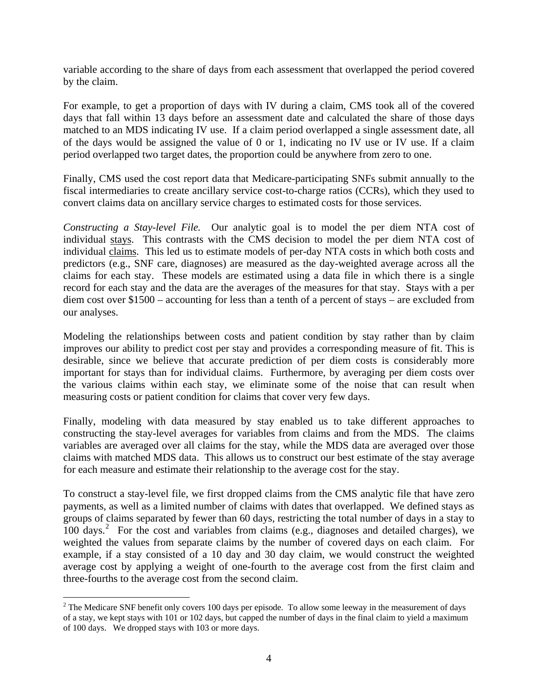variable according to the share of days from each assessment that overlapped the period covered by the claim.

For example, to get a proportion of days with IV during a claim, CMS took all of the covered days that fall within 13 days before an assessment date and calculated the share of those days matched to an MDS indicating IV use. If a claim period overlapped a single assessment date, all of the days would be assigned the value of 0 or 1, indicating no IV use or IV use. If a claim period overlapped two target dates, the proportion could be anywhere from zero to one.

Finally, CMS used the cost report data that Medicare-participating SNFs submit annually to the fiscal intermediaries to create ancillary service cost-to-charge ratios (CCRs), which they used to convert claims data on ancillary service charges to estimated costs for those services.

*Constructing a Stay-level File.* Our analytic goal is to model the per diem NTA cost of individual stays. This contrasts with the CMS decision to model the per diem NTA cost of individual claims. This led us to estimate models of per-day NTA costs in which both costs and predictors (e.g., SNF care, diagnoses) are measured as the day-weighted average across all the claims for each stay. These models are estimated using a data file in which there is a single record for each stay and the data are the averages of the measures for that stay. Stays with a per diem cost over \$1500 – accounting for less than a tenth of a percent of stays – are excluded from our analyses.

Modeling the relationships between costs and patient condition by stay rather than by claim improves our ability to predict cost per stay and provides a corresponding measure of fit. This is desirable, since we believe that accurate prediction of per diem costs is considerably more important for stays than for individual claims. Furthermore, by averaging per diem costs over the various claims within each stay, we eliminate some of the noise that can result when measuring costs or patient condition for claims that cover very few days.

Finally, modeling with data measured by stay enabled us to take different approaches to constructing the stay-level averages for variables from claims and from the MDS. The claims variables are averaged over all claims for the stay, while the MDS data are averaged over those claims with matched MDS data. This allows us to construct our best estimate of the stay average for each measure and estimate their relationship to the average cost for the stay.

To construct a stay-level file, we first dropped claims from the CMS analytic file that have zero payments, as well as a limited number of claims with dates that overlapped. We defined stays as groups of claims separated by fewer than 60 days, restricting the total number of days in a stay to 100 days.<sup>[2](#page-4-0)</sup> For the cost and variables from claims (e.g., diagnoses and detailed charges), we weighted the values from separate claims by the number of covered days on each claim. For example, if a stay consisted of a 10 day and 30 day claim, we would construct the weighted average cost by applying a weight of one-fourth to the average cost from the first claim and three-fourths to the average cost from the second claim.

<span id="page-4-0"></span> $\overline{a}$  $2^2$  The Medicare SNF benefit only covers 100 days per episode. To allow some leeway in the measurement of days of a stay, we kept stays with 101 or 102 days, but capped the number of days in the final claim to yield a maximum of 100 days. We dropped stays with 103 or more days.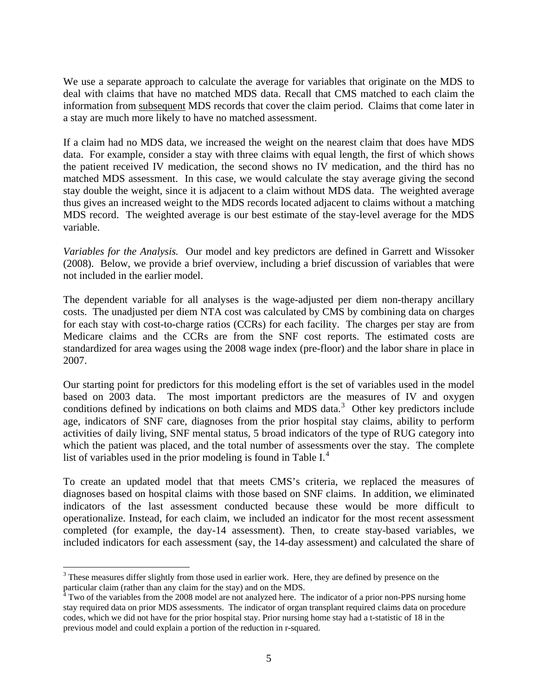We use a separate approach to calculate the average for variables that originate on the MDS to deal with claims that have no matched MDS data. Recall that CMS matched to each claim the information from subsequent MDS records that cover the claim period. Claims that come later in a stay are much more likely to have no matched assessment.

If a claim had no MDS data, we increased the weight on the nearest claim that does have MDS data. For example, consider a stay with three claims with equal length, the first of which shows the patient received IV medication, the second shows no IV medication, and the third has no matched MDS assessment. In this case, we would calculate the stay average giving the second stay double the weight, since it is adjacent to a claim without MDS data. The weighted average thus gives an increased weight to the MDS records located adjacent to claims without a matching MDS record. The weighted average is our best estimate of the stay-level average for the MDS variable.

*Variables for the Analysis.* Our model and key predictors are defined in Garrett and Wissoker (2008). Below, we provide a brief overview, including a brief discussion of variables that were not included in the earlier model.

The dependent variable for all analyses is the wage-adjusted per diem non-therapy ancillary costs. The unadjusted per diem NTA cost was calculated by CMS by combining data on charges for each stay with cost-to-charge ratios (CCRs) for each facility. The charges per stay are from Medicare claims and the CCRs are from the SNF cost reports. The estimated costs are standardized for area wages using the 2008 wage index (pre-floor) and the labor share in place in 2007.

Our starting point for predictors for this modeling effort is the set of variables used in the model based on 2003 data. The most important predictors are the measures of IV and oxygen conditions defined by indications on both claims and MDS data.<sup>[3](#page-5-0)</sup> Other key predictors include age, indicators of SNF care, diagnoses from the prior hospital stay claims, ability to perform activities of daily living, SNF mental status, 5 broad indicators of the type of RUG category into which the patient was placed, and the total number of assessments over the stay. The complete list of variables used in the prior modeling is found in Table  $I<sup>4</sup>$  $I<sup>4</sup>$  $I<sup>4</sup>$ .

To create an updated model that that meets CMS's criteria, we replaced the measures of diagnoses based on hospital claims with those based on SNF claims. In addition, we eliminated indicators of the last assessment conducted because these would be more difficult to operationalize. Instead, for each claim, we included an indicator for the most recent assessment completed (for example, the day-14 assessment). Then, to create stay-based variables, we included indicators for each assessment (say, the 14-day assessment) and calculated the share of

 $\overline{a}$  $3$  These measures differ slightly from those used in earlier work. Here, they are defined by presence on the

<span id="page-5-1"></span><span id="page-5-0"></span>particular claim (rather than any claim for the stay) and on the MDS.<br><sup>4</sup> Two of the variables from the 2008 model are not analyzed here. The indicator of a prior non-PPS nursing home stay required data on prior MDS assessments. The indicator of organ transplant required claims data on procedure codes, which we did not have for the prior hospital stay. Prior nursing home stay had a t-statistic of 18 in the previous model and could explain a portion of the reduction in r-squared.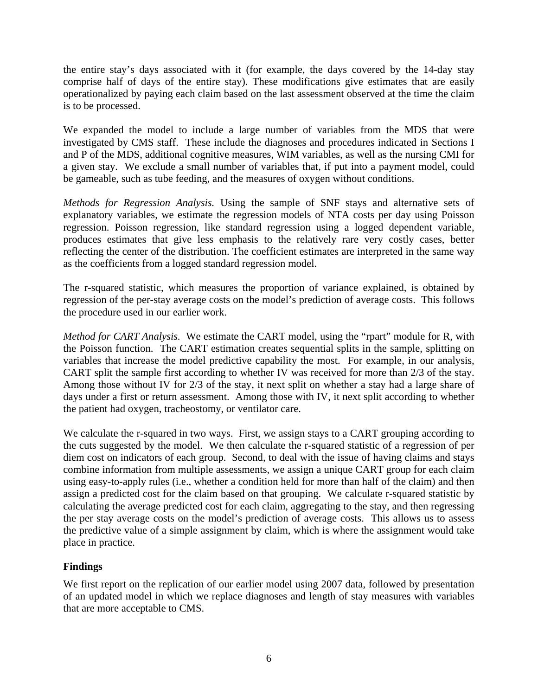the entire stay's days associated with it (for example, the days covered by the 14-day stay comprise half of days of the entire stay). These modifications give estimates that are easily operationalized by paying each claim based on the last assessment observed at the time the claim is to be processed.

We expanded the model to include a large number of variables from the MDS that were investigated by CMS staff. These include the diagnoses and procedures indicated in Sections I and P of the MDS, additional cognitive measures, WIM variables, as well as the nursing CMI for a given stay. We exclude a small number of variables that, if put into a payment model, could be gameable, such as tube feeding, and the measures of oxygen without conditions.

*Methods for Regression Analysis.* Using the sample of SNF stays and alternative sets of explanatory variables, we estimate the regression models of NTA costs per day using Poisson regression. Poisson regression, like standard regression using a logged dependent variable, produces estimates that give less emphasis to the relatively rare very costly cases, better reflecting the center of the distribution. The coefficient estimates are interpreted in the same way as the coefficients from a logged standard regression model.

The r-squared statistic, which measures the proportion of variance explained, is obtained by regression of the per-stay average costs on the model's prediction of average costs. This follows the procedure used in our earlier work.

*Method for CART Analysis.* We estimate the CART model, using the "rpart" module for R, with the Poisson function. The CART estimation creates sequential splits in the sample, splitting on variables that increase the model predictive capability the most. For example, in our analysis, CART split the sample first according to whether IV was received for more than 2/3 of the stay. Among those without IV for 2/3 of the stay, it next split on whether a stay had a large share of days under a first or return assessment. Among those with IV, it next split according to whether the patient had oxygen, tracheostomy, or ventilator care.

We calculate the r-squared in two ways. First, we assign stays to a CART grouping according to the cuts suggested by the model. We then calculate the r-squared statistic of a regression of per diem cost on indicators of each group. Second, to deal with the issue of having claims and stays combine information from multiple assessments, we assign a unique CART group for each claim using easy-to-apply rules (i.e., whether a condition held for more than half of the claim) and then assign a predicted cost for the claim based on that grouping. We calculate r-squared statistic by calculating the average predicted cost for each claim, aggregating to the stay, and then regressing the per stay average costs on the model's prediction of average costs. This allows us to assess the predictive value of a simple assignment by claim, which is where the assignment would take place in practice.

#### **Findings**

We first report on the replication of our earlier model using 2007 data, followed by presentation of an updated model in which we replace diagnoses and length of stay measures with variables that are more acceptable to CMS.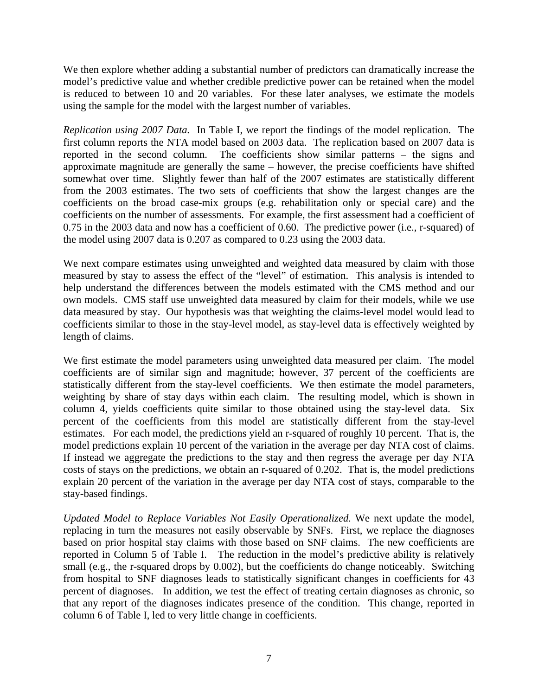We then explore whether adding a substantial number of predictors can dramatically increase the model's predictive value and whether credible predictive power can be retained when the model is reduced to between 10 and 20 variables. For these later analyses, we estimate the models using the sample for the model with the largest number of variables.

*Replication using 2007 Data.* In Table I, we report the findings of the model replication. The first column reports the NTA model based on 2003 data. The replication based on 2007 data is reported in the second column. The coefficients show similar patterns – the signs and approximate magnitude are generally the same – however, the precise coefficients have shifted somewhat over time. Slightly fewer than half of the 2007 estimates are statistically different from the 2003 estimates. The two sets of coefficients that show the largest changes are the coefficients on the broad case-mix groups (e.g. rehabilitation only or special care) and the coefficients on the number of assessments. For example, the first assessment had a coefficient of 0.75 in the 2003 data and now has a coefficient of 0.60. The predictive power (i.e., r-squared) of the model using 2007 data is 0.207 as compared to 0.23 using the 2003 data.

We next compare estimates using unweighted and weighted data measured by claim with those measured by stay to assess the effect of the "level" of estimation. This analysis is intended to help understand the differences between the models estimated with the CMS method and our own models. CMS staff use unweighted data measured by claim for their models, while we use data measured by stay. Our hypothesis was that weighting the claims-level model would lead to coefficients similar to those in the stay-level model, as stay-level data is effectively weighted by length of claims.

We first estimate the model parameters using unweighted data measured per claim. The model coefficients are of similar sign and magnitude; however, 37 percent of the coefficients are statistically different from the stay-level coefficients. We then estimate the model parameters, weighting by share of stay days within each claim. The resulting model, which is shown in column 4, yields coefficients quite similar to those obtained using the stay-level data. Six percent of the coefficients from this model are statistically different from the stay-level estimates. For each model, the predictions yield an r-squared of roughly 10 percent. That is, the model predictions explain 10 percent of the variation in the average per day NTA cost of claims. If instead we aggregate the predictions to the stay and then regress the average per day NTA costs of stays on the predictions, we obtain an r-squared of 0.202. That is, the model predictions explain 20 percent of the variation in the average per day NTA cost of stays, comparable to the stay-based findings.

*Updated Model to Replace Variables Not Easily Operationalized.* We next update the model, replacing in turn the measures not easily observable by SNFs. First, we replace the diagnoses based on prior hospital stay claims with those based on SNF claims. The new coefficients are reported in Column 5 of Table I. The reduction in the model's predictive ability is relatively small (e.g., the r-squared drops by 0.002), but the coefficients do change noticeably. Switching from hospital to SNF diagnoses leads to statistically significant changes in coefficients for 43 percent of diagnoses. In addition, we test the effect of treating certain diagnoses as chronic, so that any report of the diagnoses indicates presence of the condition. This change, reported in column 6 of Table I, led to very little change in coefficients.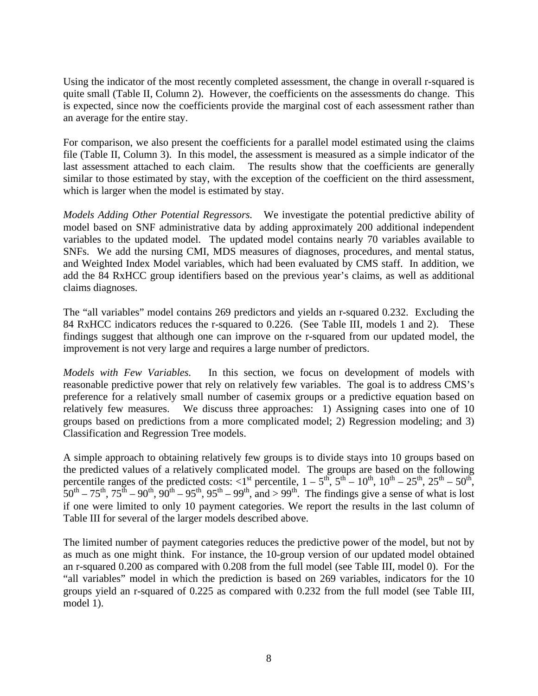Using the indicator of the most recently completed assessment, the change in overall r-squared is quite small (Table II, Column 2). However, the coefficients on the assessments do change. This is expected, since now the coefficients provide the marginal cost of each assessment rather than an average for the entire stay.

For comparison, we also present the coefficients for a parallel model estimated using the claims file (Table II, Column 3). In this model, the assessment is measured as a simple indicator of the last assessment attached to each claim. The results show that the coefficients are generally similar to those estimated by stay, with the exception of the coefficient on the third assessment, which is larger when the model is estimated by stay.

*Models Adding Other Potential Regressors.* We investigate the potential predictive ability of model based on SNF administrative data by adding approximately 200 additional independent variables to the updated model. The updated model contains nearly 70 variables available to SNFs. We add the nursing CMI, MDS measures of diagnoses, procedures, and mental status, and Weighted Index Model variables, which had been evaluated by CMS staff. In addition, we add the 84 RxHCC group identifiers based on the previous year's claims, as well as additional claims diagnoses.

The "all variables" model contains 269 predictors and yields an r-squared 0.232. Excluding the 84 RxHCC indicators reduces the r-squared to 0.226. (See Table III, models 1 and 2). These findings suggest that although one can improve on the r-squared from our updated model, the improvement is not very large and requires a large number of predictors.

*Models with Few Variables.* In this section, we focus on development of models with reasonable predictive power that rely on relatively few variables. The goal is to address CMS's preference for a relatively small number of casemix groups or a predictive equation based on relatively few measures. We discuss three approaches: 1) Assigning cases into one of 10 groups based on predictions from a more complicated model; 2) Regression modeling; and 3) Classification and Regression Tree models.

A simple approach to obtaining relatively few groups is to divide stays into 10 groups based on the predicted values of a relatively complicated model. The groups are based on the following percentile ranges of the predicted costs:  $\langle 1^{st}$  percentile,  $1 - 5^{th}$ ,  $5^{th} - 10^{th}$ ,  $10^{th} - 25^{th}$ ,  $25^{th} - 50^{th}$ ,  $50^{th} - 75^{th}$ ,  $75^{th} - 90^{th}$ ,  $90^{th} - 95^{th}$ ,  $95^{th} - 99^{th}$ , and  $> 99^{th}$ . The findings give a sense of what is lost if one were limited to only 10 payment categories. We report the results in the last column of Table III for several of the larger models described above.

The limited number of payment categories reduces the predictive power of the model, but not by as much as one might think. For instance, the 10-group version of our updated model obtained an r-squared 0.200 as compared with 0.208 from the full model (see Table III, model 0). For the "all variables" model in which the prediction is based on 269 variables, indicators for the 10 groups yield an r-squared of 0.225 as compared with 0.232 from the full model (see Table III, model 1).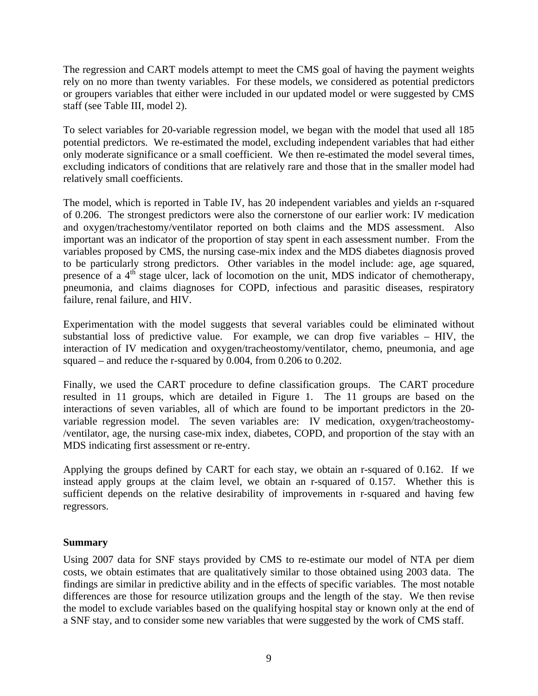The regression and CART models attempt to meet the CMS goal of having the payment weights rely on no more than twenty variables. For these models, we considered as potential predictors or groupers variables that either were included in our updated model or were suggested by CMS staff (see Table III, model 2).

To select variables for 20-variable regression model, we began with the model that used all 185 potential predictors. We re-estimated the model, excluding independent variables that had either only moderate significance or a small coefficient. We then re-estimated the model several times, excluding indicators of conditions that are relatively rare and those that in the smaller model had relatively small coefficients.

The model, which is reported in Table IV, has 20 independent variables and yields an r-squared of 0.206. The strongest predictors were also the cornerstone of our earlier work: IV medication and oxygen/trachestomy/ventilator reported on both claims and the MDS assessment. Also important was an indicator of the proportion of stay spent in each assessment number. From the variables proposed by CMS, the nursing case-mix index and the MDS diabetes diagnosis proved to be particularly strong predictors. Other variables in the model include: age, age squared, presence of a  $4<sup>th</sup>$  stage ulcer, lack of locomotion on the unit, MDS indicator of chemotherapy, pneumonia, and claims diagnoses for COPD, infectious and parasitic diseases, respiratory failure, renal failure, and HIV.

Experimentation with the model suggests that several variables could be eliminated without substantial loss of predictive value. For example, we can drop five variables – HIV, the interaction of IV medication and oxygen/tracheostomy/ventilator, chemo, pneumonia, and age squared – and reduce the r-squared by 0.004, from 0.206 to 0.202.

Finally, we used the CART procedure to define classification groups. The CART procedure resulted in 11 groups, which are detailed in Figure 1. The 11 groups are based on the interactions of seven variables, all of which are found to be important predictors in the 20 variable regression model. The seven variables are: IV medication, oxygen/tracheostomy- /ventilator, age, the nursing case-mix index, diabetes, COPD, and proportion of the stay with an MDS indicating first assessment or re-entry.

Applying the groups defined by CART for each stay, we obtain an r-squared of 0.162. If we instead apply groups at the claim level, we obtain an r-squared of 0.157. Whether this is sufficient depends on the relative desirability of improvements in r-squared and having few regressors.

#### **Summary**

Using 2007 data for SNF stays provided by CMS to re-estimate our model of NTA per diem costs, we obtain estimates that are qualitatively similar to those obtained using 2003 data. The findings are similar in predictive ability and in the effects of specific variables. The most notable differences are those for resource utilization groups and the length of the stay. We then revise the model to exclude variables based on the qualifying hospital stay or known only at the end of a SNF stay, and to consider some new variables that were suggested by the work of CMS staff.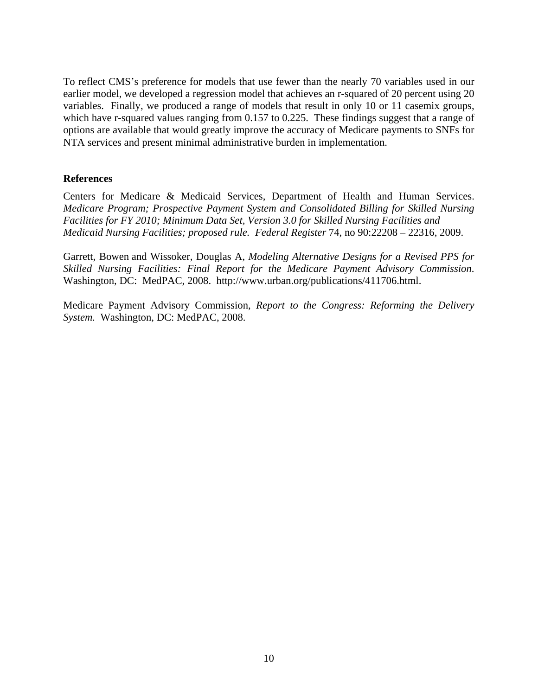To reflect CMS's preference for models that use fewer than the nearly 70 variables used in our earlier model, we developed a regression model that achieves an r-squared of 20 percent using 20 variables. Finally, we produced a range of models that result in only 10 or 11 casemix groups, which have r-squared values ranging from 0.157 to 0.225. These findings suggest that a range of options are available that would greatly improve the accuracy of Medicare payments to SNFs for NTA services and present minimal administrative burden in implementation.

#### **References**

Centers for Medicare & Medicaid Services, Department of Health and Human Services. *Medicare Program; Prospective Payment System and Consolidated Billing for Skilled Nursing Facilities for FY 2010; Minimum Data Set, Version 3.0 for Skilled Nursing Facilities and Medicaid Nursing Facilities; proposed rule. Federal Register* 74, no 90:22208 – 22316, 2009.

Garrett, Bowen and Wissoker, Douglas A, *Modeling Alternative Designs for a Revised PPS for Skilled Nursing Facilities: Final Report for the Medicare Payment Advisory Commission*. Washington, DC: MedPAC, 2008. http://www.urban.org/publications/411706.html.

Medicare Payment Advisory Commission, *Report to the Congress: Reforming the Delivery System.* Washington, DC: MedPAC, 2008.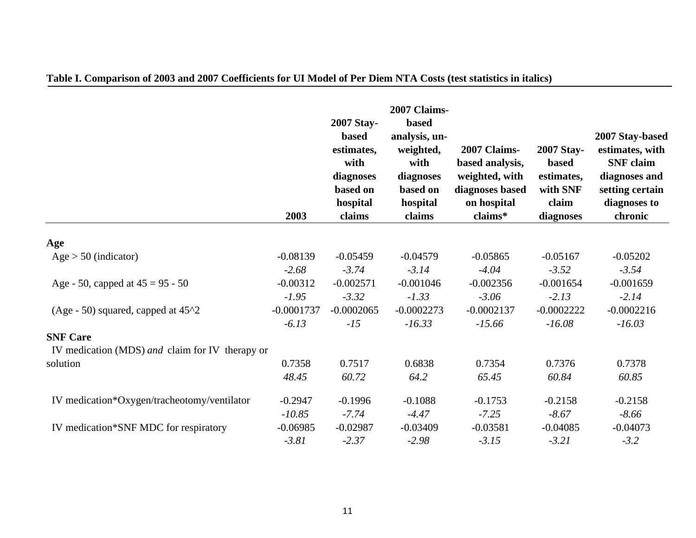|                                                 | 2003         | 2007 Stay-<br><b>based</b><br>estimates,<br>with<br>diagnoses<br>based on<br>hospital<br>claims | 2007 Claims-<br>based<br>analysis, un-<br>weighted,<br>with<br>diagnoses<br>based on<br>hospital<br>claims | 2007 Claims-<br>based analysis,<br>weighted, with<br>diagnoses based<br>on hospital<br>claims* | <b>2007 Stay-</b><br><b>based</b><br>estimates,<br>with SNF<br>claim<br>diagnoses | 2007 Stay-based<br>estimates, with<br><b>SNF</b> claim<br>diagnoses and<br>setting certain<br>diagnoses to<br>chronic |
|-------------------------------------------------|--------------|-------------------------------------------------------------------------------------------------|------------------------------------------------------------------------------------------------------------|------------------------------------------------------------------------------------------------|-----------------------------------------------------------------------------------|-----------------------------------------------------------------------------------------------------------------------|
|                                                 |              |                                                                                                 |                                                                                                            |                                                                                                |                                                                                   |                                                                                                                       |
| Age                                             |              |                                                                                                 |                                                                                                            |                                                                                                |                                                                                   |                                                                                                                       |
| $Age > 50$ (indicator)                          | $-0.08139$   | $-0.05459$                                                                                      | $-0.04579$                                                                                                 | $-0.05865$                                                                                     | $-0.05167$                                                                        | $-0.05202$                                                                                                            |
|                                                 | $-2.68$      | $-3.74$                                                                                         | $-3.14$                                                                                                    | $-4.04$                                                                                        | $-3.52$                                                                           | $-3.54$                                                                                                               |
| Age - 50, capped at $45 = 95 - 50$              | $-0.00312$   | $-0.002571$                                                                                     | $-0.001046$                                                                                                | $-0.002356$                                                                                    | $-0.001654$                                                                       | $-0.001659$                                                                                                           |
|                                                 | $-1.95$      | $-3.32$                                                                                         | $-1.33$                                                                                                    | $-3.06$                                                                                        | $-2.13$                                                                           | $-2.14$                                                                                                               |
| (Age - 50) squared, capped at $45^{\circ}2$     | $-0.0001737$ | $-0.0002065$                                                                                    | $-0.0002273$                                                                                               | $-0.0002137$                                                                                   | $-0.0002222$                                                                      | $-0.0002216$                                                                                                          |
|                                                 | $-6.13$      | $-15$                                                                                           | $-16.33$                                                                                                   | $-15.66$                                                                                       | $-16.08$                                                                          | $-16.03$                                                                                                              |
| <b>SNF Care</b>                                 |              |                                                                                                 |                                                                                                            |                                                                                                |                                                                                   |                                                                                                                       |
| IV medication (MDS) and claim for IV therapy or |              |                                                                                                 |                                                                                                            |                                                                                                |                                                                                   |                                                                                                                       |
| solution                                        | 0.7358       | 0.7517                                                                                          | 0.6838                                                                                                     | 0.7354                                                                                         | 0.7376                                                                            | 0.7378                                                                                                                |
|                                                 | 48.45        | 60.72                                                                                           | 64.2                                                                                                       | 65.45                                                                                          | 60.84                                                                             | 60.85                                                                                                                 |
| IV medication*Oxygen/tracheotomy/ventilator     | $-0.2947$    | $-0.1996$                                                                                       | $-0.1088$                                                                                                  | $-0.1753$                                                                                      | $-0.2158$                                                                         | $-0.2158$                                                                                                             |
|                                                 | $-10.85$     | $-7.74$                                                                                         | $-4.47$                                                                                                    | $-7.25$                                                                                        | $-8.67$                                                                           | $-8.66$                                                                                                               |
| IV medication*SNF MDC for respiratory           | $-0.06985$   | $-0.02987$                                                                                      | $-0.03409$                                                                                                 | $-0.03581$                                                                                     | $-0.04085$                                                                        | $-0.04073$                                                                                                            |
|                                                 | $-3.81$      | $-2.37$                                                                                         | $-2.98$                                                                                                    | $-3.15$                                                                                        | $-3.21$                                                                           | $-3.2$                                                                                                                |

### **Table I. Comparison of 2003 and 2007 Coefficients for UI Model of Per Diem NTA Costs (test statistics in italics)**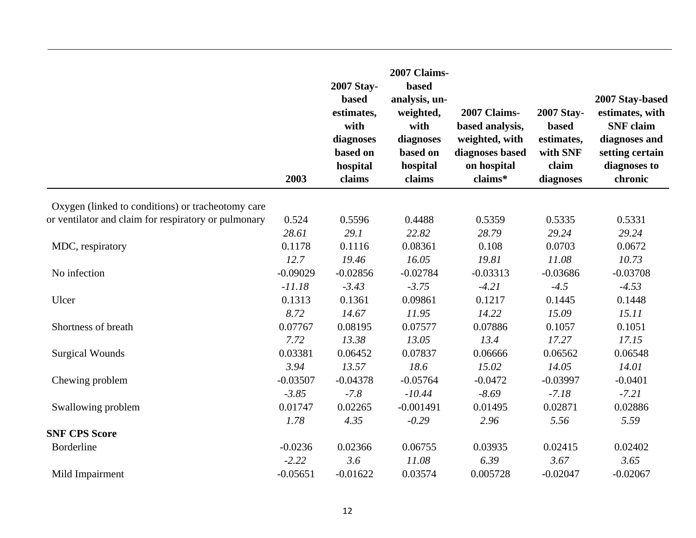|                                                      | 2003       | 2007 Stay-<br><b>based</b><br>estimates,<br>with<br>diagnoses<br>based on<br>hospital<br>claims | 2007 Claims-<br>based<br>analysis, un-<br>weighted,<br>with<br>diagnoses<br>based on<br>hospital<br>claims | 2007 Claims-<br>based analysis,<br>weighted, with<br>diagnoses based<br>on hospital<br>claims* | 2007 Stay-<br><b>based</b><br>estimates,<br>with SNF<br>claim<br>diagnoses | 2007 Stay-based<br>estimates, with<br><b>SNF</b> claim<br>diagnoses and<br>setting certain<br>diagnoses to<br>chronic |
|------------------------------------------------------|------------|-------------------------------------------------------------------------------------------------|------------------------------------------------------------------------------------------------------------|------------------------------------------------------------------------------------------------|----------------------------------------------------------------------------|-----------------------------------------------------------------------------------------------------------------------|
| Oxygen (linked to conditions) or tracheotomy care    |            |                                                                                                 |                                                                                                            |                                                                                                |                                                                            |                                                                                                                       |
| or ventilator and claim for respiratory or pulmonary | 0.524      | 0.5596                                                                                          | 0.4488                                                                                                     | 0.5359                                                                                         | 0.5335                                                                     | 0.5331                                                                                                                |
|                                                      | 28.61      | 29.1                                                                                            | 22.82                                                                                                      | 28.79                                                                                          | 29.24                                                                      | 29.24                                                                                                                 |
| MDC, respiratory                                     | 0.1178     | 0.1116                                                                                          | 0.08361                                                                                                    | 0.108                                                                                          | 0.0703                                                                     | 0.0672                                                                                                                |
|                                                      | 12.7       | 19.46                                                                                           | 16.05                                                                                                      | 19.81                                                                                          | 11.08                                                                      | 10.73                                                                                                                 |
| No infection                                         | $-0.09029$ | $-0.02856$                                                                                      | $-0.02784$                                                                                                 | $-0.03313$                                                                                     | $-0.03686$                                                                 | $-0.03708$                                                                                                            |
|                                                      | $-11.18$   | $-3.43$                                                                                         | $-3.75$                                                                                                    | $-4.21$                                                                                        | $-4.5$                                                                     | $-4.53$                                                                                                               |
| Ulcer                                                | 0.1313     | 0.1361                                                                                          | 0.09861                                                                                                    | 0.1217                                                                                         | 0.1445                                                                     | 0.1448                                                                                                                |
|                                                      | 8.72       | 14.67                                                                                           | 11.95                                                                                                      | 14.22                                                                                          | 15.09                                                                      | 15.11                                                                                                                 |
| Shortness of breath                                  | 0.07767    | 0.08195                                                                                         | 0.07577                                                                                                    | 0.07886                                                                                        | 0.1057                                                                     | 0.1051                                                                                                                |
|                                                      | 7.72       | 13.38                                                                                           | 13.05                                                                                                      | 13.4                                                                                           | 17.27                                                                      | 17.15                                                                                                                 |
| <b>Surgical Wounds</b>                               | 0.03381    | 0.06452                                                                                         | 0.07837                                                                                                    | 0.06666                                                                                        | 0.06562                                                                    | 0.06548                                                                                                               |
|                                                      | 3.94       | 13.57                                                                                           | 18.6                                                                                                       | 15.02                                                                                          | 14.05                                                                      | 14.01                                                                                                                 |
| Chewing problem                                      | $-0.03507$ | $-0.04378$                                                                                      | $-0.05764$                                                                                                 | $-0.0472$                                                                                      | $-0.03997$                                                                 | $-0.0401$                                                                                                             |
|                                                      | $-3.85$    | $-7.8$                                                                                          | $-10.44$                                                                                                   | $-8.69$                                                                                        | $-7.18$                                                                    | $-7.21$                                                                                                               |
| Swallowing problem                                   | 0.01747    | 0.02265                                                                                         | $-0.001491$                                                                                                | 0.01495                                                                                        | 0.02871                                                                    | 0.02886                                                                                                               |
|                                                      | 1.78       | 4.35                                                                                            | $-0.29$                                                                                                    | 2.96                                                                                           | 5.56                                                                       | 5.59                                                                                                                  |
| <b>SNF CPS Score</b>                                 |            |                                                                                                 |                                                                                                            |                                                                                                |                                                                            |                                                                                                                       |
| Borderline                                           | $-0.0236$  | 0.02366                                                                                         | 0.06755                                                                                                    | 0.03935                                                                                        | 0.02415                                                                    | 0.02402                                                                                                               |
|                                                      | $-2.22$    | 3.6                                                                                             | 11.08                                                                                                      | 6.39                                                                                           | 3.67                                                                       | 3.65                                                                                                                  |
| Mild Impairment                                      | $-0.05651$ | $-0.01622$                                                                                      | 0.03574                                                                                                    | 0.005728                                                                                       | $-0.02047$                                                                 | $-0.02067$                                                                                                            |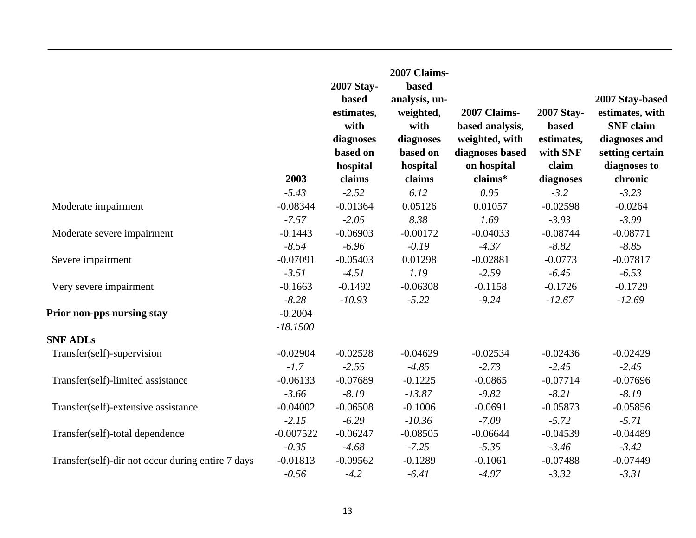|                                                   |                         | 2007 Stay-<br>based<br>estimates,<br>with<br>diagnoses<br>based on<br>hospital | 2007 Claims-<br>based<br>analysis, un-<br>weighted,<br>with<br>diagnoses<br>based on<br>hospital | 2007 Claims-<br>based analysis,<br>weighted, with<br>diagnoses based<br>on hospital | 2007 Stay-<br>based<br>estimates,<br>with SNF<br>claim | 2007 Stay-based<br>estimates, with<br><b>SNF</b> claim<br>diagnoses and<br>setting certain<br>diagnoses to |
|---------------------------------------------------|-------------------------|--------------------------------------------------------------------------------|--------------------------------------------------------------------------------------------------|-------------------------------------------------------------------------------------|--------------------------------------------------------|------------------------------------------------------------------------------------------------------------|
|                                                   | 2003                    | claims                                                                         | claims<br>6.12                                                                                   | claims*                                                                             | diagnoses<br>$-3.2$                                    | chronic                                                                                                    |
|                                                   | $-5.43$                 | $-2.52$                                                                        |                                                                                                  | 0.95                                                                                |                                                        | $-3.23$                                                                                                    |
| Moderate impairment                               | $-0.08344$<br>$-7.57$   | $-0.01364$<br>$-2.05$                                                          | 0.05126<br>8.38                                                                                  | 0.01057<br>1.69                                                                     | $-0.02598$<br>$-3.93$                                  | $-0.0264$<br>$-3.99$                                                                                       |
| Moderate severe impairment                        | $-0.1443$               | $-0.06903$                                                                     | $-0.00172$                                                                                       | $-0.04033$                                                                          | $-0.08744$                                             | $-0.08771$                                                                                                 |
|                                                   | $-8.54$                 | $-6.96$                                                                        | $-0.19$                                                                                          | $-4.37$                                                                             | $-8.82$                                                | $-8.85$                                                                                                    |
| Severe impairment                                 | $-0.07091$              | $-0.05403$                                                                     | 0.01298                                                                                          | $-0.02881$                                                                          | $-0.0773$                                              | $-0.07817$                                                                                                 |
|                                                   | $-3.51$                 | $-4.51$                                                                        | 1.19                                                                                             | $-2.59$                                                                             | $-6.45$                                                | $-6.53$                                                                                                    |
| Very severe impairment                            | $-0.1663$               | $-0.1492$                                                                      | $-0.06308$                                                                                       | $-0.1158$                                                                           | $-0.1726$                                              | $-0.1729$                                                                                                  |
|                                                   | $-8.28$                 | $-10.93$                                                                       | $-5.22$                                                                                          | $-9.24$                                                                             | $-12.67$                                               | $-12.69$                                                                                                   |
| Prior non-pps nursing stay                        | $-0.2004$<br>$-18.1500$ |                                                                                |                                                                                                  |                                                                                     |                                                        |                                                                                                            |
| <b>SNF ADLs</b>                                   |                         |                                                                                |                                                                                                  |                                                                                     |                                                        |                                                                                                            |
| Transfer(self)-supervision                        | $-0.02904$              | $-0.02528$                                                                     | $-0.04629$                                                                                       | $-0.02534$                                                                          | $-0.02436$                                             | $-0.02429$                                                                                                 |
|                                                   | $-1.7$                  | $-2.55$                                                                        | $-4.85$                                                                                          | $-2.73$                                                                             | $-2.45$                                                | $-2.45$                                                                                                    |
| Transfer(self)-limited assistance                 | $-0.06133$              | $-0.07689$                                                                     | $-0.1225$                                                                                        | $-0.0865$                                                                           | $-0.07714$                                             | $-0.07696$                                                                                                 |
|                                                   | $-3.66$                 | $-8.19$                                                                        | $-13.87$                                                                                         | $-9.82$                                                                             | $-8.21$                                                | $-8.19$                                                                                                    |
| Transfer(self)-extensive assistance               | $-0.04002$              | $-0.06508$                                                                     | $-0.1006$                                                                                        | $-0.0691$                                                                           | $-0.05873$                                             | $-0.05856$                                                                                                 |
|                                                   | $-2.15$                 | $-6.29$                                                                        | $-10.36$                                                                                         | $-7.09$                                                                             | $-5.72$                                                | $-5.71$                                                                                                    |
| Transfer(self)-total dependence                   | $-0.007522$             | $-0.06247$                                                                     | $-0.08505$                                                                                       | $-0.06644$                                                                          | $-0.04539$                                             | $-0.04489$                                                                                                 |
|                                                   | $-0.35$                 | $-4.68$                                                                        | $-7.25$                                                                                          | $-5.35$                                                                             | $-3.46$                                                | $-3.42$                                                                                                    |
| Transfer(self)-dir not occur during entire 7 days | $-0.01813$              | $-0.09562$                                                                     | $-0.1289$                                                                                        | $-0.1061$                                                                           | $-0.07488$                                             | $-0.07449$                                                                                                 |
|                                                   | $-0.56$                 | $-4.2$                                                                         | $-6.41$                                                                                          | $-4.97$                                                                             | $-3.32$                                                | $-3.31$                                                                                                    |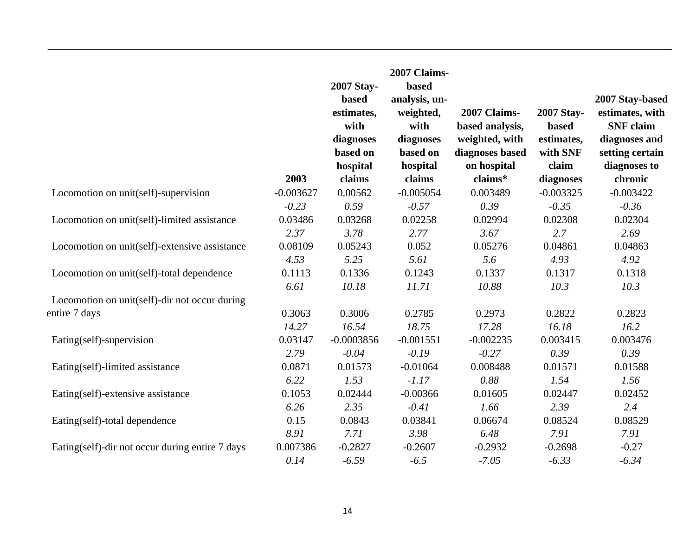|                                                 | 2003        | 2007 Stay-<br><b>based</b><br>estimates,<br>with<br>diagnoses<br>based on<br>hospital<br>claims | 2007 Claims-<br>based<br>analysis, un-<br>weighted,<br>with<br>diagnoses<br>based on<br>hospital<br>claims | 2007 Claims-<br>based analysis,<br>weighted, with<br>diagnoses based<br>on hospital<br>claims* | 2007 Stay-<br><b>based</b><br>estimates,<br>with SNF<br>claim<br>diagnoses | 2007 Stay-based<br>estimates, with<br><b>SNF</b> claim<br>diagnoses and<br>setting certain<br>diagnoses to<br>chronic |
|-------------------------------------------------|-------------|-------------------------------------------------------------------------------------------------|------------------------------------------------------------------------------------------------------------|------------------------------------------------------------------------------------------------|----------------------------------------------------------------------------|-----------------------------------------------------------------------------------------------------------------------|
| Locomotion on unit(self)-supervision            | $-0.003627$ | 0.00562                                                                                         | $-0.005054$                                                                                                | 0.003489                                                                                       | $-0.003325$                                                                | $-0.003422$                                                                                                           |
|                                                 | $-0.23$     | 0.59                                                                                            | $-0.57$                                                                                                    | 0.39                                                                                           | $-0.35$                                                                    | $-0.36$                                                                                                               |
| Locomotion on unit(self)-limited assistance     | 0.03486     | 0.03268                                                                                         | 0.02258                                                                                                    | 0.02994                                                                                        | 0.02308                                                                    | 0.02304                                                                                                               |
|                                                 | 2.37        | 3.78                                                                                            | 2.77                                                                                                       | 3.67                                                                                           | 2.7                                                                        | 2.69                                                                                                                  |
| Locomotion on unit(self)-extensive assistance   | 0.08109     | 0.05243                                                                                         | 0.052                                                                                                      | 0.05276                                                                                        | 0.04861                                                                    | 0.04863                                                                                                               |
|                                                 | 4.53        | 5.25                                                                                            | 5.61                                                                                                       | 5.6                                                                                            | 4.93                                                                       | 4.92                                                                                                                  |
| Locomotion on unit(self)-total dependence       | 0.1113      | 0.1336                                                                                          | 0.1243                                                                                                     | 0.1337                                                                                         | 0.1317                                                                     | 0.1318                                                                                                                |
|                                                 | 6.61        | 10.18                                                                                           | 11.71                                                                                                      | 10.88                                                                                          | 10.3                                                                       | 10.3                                                                                                                  |
| Locomotion on unit(self)-dir not occur during   |             |                                                                                                 |                                                                                                            |                                                                                                |                                                                            |                                                                                                                       |
| entire 7 days                                   | 0.3063      | 0.3006                                                                                          | 0.2785                                                                                                     | 0.2973                                                                                         | 0.2822                                                                     | 0.2823                                                                                                                |
|                                                 | 14.27       | 16.54                                                                                           | 18.75                                                                                                      | 17.28                                                                                          | 16.18                                                                      | 16.2                                                                                                                  |
| Eating(self)-supervision                        | 0.03147     | $-0.0003856$                                                                                    | $-0.001551$                                                                                                | $-0.002235$                                                                                    | 0.003415                                                                   | 0.003476                                                                                                              |
|                                                 | 2.79        | $-0.04$                                                                                         | $-0.19$                                                                                                    | $-0.27$                                                                                        | 0.39                                                                       | 0.39                                                                                                                  |
| Eating(self)-limited assistance                 | 0.0871      | 0.01573                                                                                         | $-0.01064$                                                                                                 | 0.008488                                                                                       | 0.01571                                                                    | 0.01588                                                                                                               |
|                                                 | 6.22        | 1.53                                                                                            | $-1.17$                                                                                                    | 0.88                                                                                           | 1.54                                                                       | 1.56                                                                                                                  |
| Eating(self)-extensive assistance               | 0.1053      | 0.02444                                                                                         | $-0.00366$                                                                                                 | 0.01605                                                                                        | 0.02447                                                                    | 0.02452                                                                                                               |
|                                                 | 6.26        | 2.35                                                                                            | $-0.41$                                                                                                    | 1.66                                                                                           | 2.39                                                                       | 2.4                                                                                                                   |
| Eating(self)-total dependence                   | 0.15        | 0.0843                                                                                          | 0.03841                                                                                                    | 0.06674                                                                                        | 0.08524                                                                    | 0.08529                                                                                                               |
|                                                 | 8.91        | 7.71                                                                                            | 3.98                                                                                                       | 6.48                                                                                           | 7.91                                                                       | 7.91                                                                                                                  |
| Eating(self)-dir not occur during entire 7 days | 0.007386    | $-0.2827$                                                                                       | $-0.2607$                                                                                                  | $-0.2932$                                                                                      | $-0.2698$                                                                  | $-0.27$                                                                                                               |
|                                                 | 0.14        | $-6.59$                                                                                         | $-6.5$                                                                                                     | $-7.05$                                                                                        | $-6.33$                                                                    | $-6.34$                                                                                                               |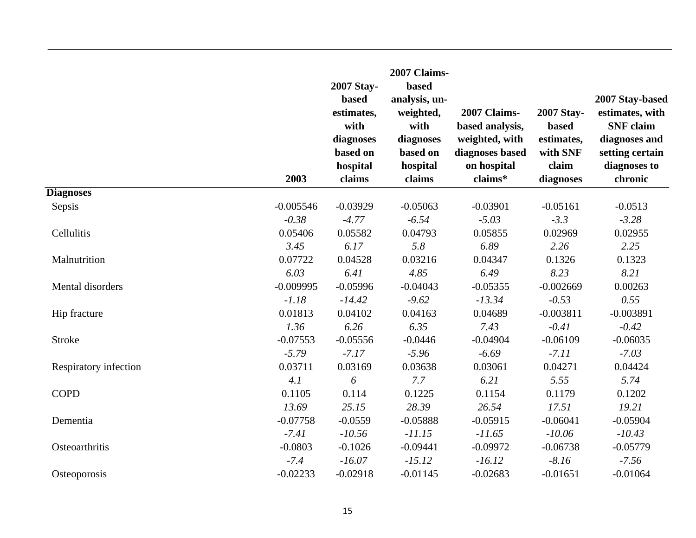|                       | 2003        | 2007 Stay-<br>based<br>estimates,<br>with<br>diagnoses<br>based on<br>hospital<br>claims | 2007 Claims-<br>based<br>analysis, un-<br>weighted,<br>with<br>diagnoses<br>based on<br>hospital<br>claims | 2007 Claims-<br>based analysis,<br>weighted, with<br>diagnoses based<br>on hospital<br>claims* | 2007 Stay-<br><b>based</b><br>estimates,<br>with SNF<br>claim<br>diagnoses | 2007 Stay-based<br>estimates, with<br><b>SNF</b> claim<br>diagnoses and<br>setting certain<br>diagnoses to<br>chronic |
|-----------------------|-------------|------------------------------------------------------------------------------------------|------------------------------------------------------------------------------------------------------------|------------------------------------------------------------------------------------------------|----------------------------------------------------------------------------|-----------------------------------------------------------------------------------------------------------------------|
| <b>Diagnoses</b>      |             |                                                                                          |                                                                                                            |                                                                                                |                                                                            |                                                                                                                       |
| Sepsis                | $-0.005546$ | $-0.03929$                                                                               | $-0.05063$                                                                                                 | $-0.03901$                                                                                     | $-0.05161$                                                                 | $-0.0513$                                                                                                             |
|                       | $-0.38$     | $-4.77$                                                                                  | $-6.54$                                                                                                    | $-5.03$                                                                                        | $-3.3$                                                                     | $-3.28$                                                                                                               |
| Cellulitis            | 0.05406     | 0.05582                                                                                  | 0.04793                                                                                                    | 0.05855                                                                                        | 0.02969                                                                    | 0.02955                                                                                                               |
|                       | 3.45        | 6.17                                                                                     | 5.8                                                                                                        | 6.89                                                                                           | 2.26                                                                       | 2.25                                                                                                                  |
| Malnutrition          | 0.07722     | 0.04528                                                                                  | 0.03216                                                                                                    | 0.04347                                                                                        | 0.1326                                                                     | 0.1323                                                                                                                |
|                       | 6.03        | 6.41                                                                                     | 4.85                                                                                                       | 6.49                                                                                           | 8.23                                                                       | 8.21                                                                                                                  |
| Mental disorders      | $-0.009995$ | $-0.05996$                                                                               | $-0.04043$                                                                                                 | $-0.05355$                                                                                     | $-0.002669$                                                                | 0.00263                                                                                                               |
|                       | $-1.18$     | $-14.42$                                                                                 | $-9.62$                                                                                                    | $-13.34$                                                                                       | $-0.53$                                                                    | 0.55                                                                                                                  |
| Hip fracture          | 0.01813     | 0.04102                                                                                  | 0.04163                                                                                                    | 0.04689                                                                                        | $-0.003811$                                                                | $-0.003891$                                                                                                           |
|                       | 1.36        | 6.26                                                                                     | 6.35                                                                                                       | 7.43                                                                                           | $-0.41$                                                                    | $-0.42$                                                                                                               |
| <b>Stroke</b>         | $-0.07553$  | $-0.05556$                                                                               | $-0.0446$                                                                                                  | $-0.04904$                                                                                     | $-0.06109$                                                                 | $-0.06035$                                                                                                            |
|                       | $-5.79$     | $-7.17$                                                                                  | $-5.96$                                                                                                    | $-6.69$                                                                                        | $-7.11$                                                                    | $-7.03$                                                                                                               |
| Respiratory infection | 0.03711     | 0.03169                                                                                  | 0.03638                                                                                                    | 0.03061                                                                                        | 0.04271                                                                    | 0.04424                                                                                                               |
|                       | 4.1         | 6                                                                                        | 7.7                                                                                                        | 6.21                                                                                           | 5.55                                                                       | 5.74                                                                                                                  |
| <b>COPD</b>           | 0.1105      | 0.114                                                                                    | 0.1225                                                                                                     | 0.1154                                                                                         | 0.1179                                                                     | 0.1202                                                                                                                |
|                       | 13.69       | 25.15                                                                                    | 28.39                                                                                                      | 26.54                                                                                          | 17.51                                                                      | 19.21                                                                                                                 |
| Dementia              | $-0.07758$  | $-0.0559$                                                                                | $-0.05888$                                                                                                 | $-0.05915$                                                                                     | $-0.06041$                                                                 | $-0.05904$                                                                                                            |
|                       | $-7.41$     | $-10.56$                                                                                 | $-11.15$                                                                                                   | $-11.65$                                                                                       | $-10.06$                                                                   | $-10.43$                                                                                                              |
| Osteoarthritis        | $-0.0803$   | $-0.1026$                                                                                | $-0.09441$                                                                                                 | $-0.09972$                                                                                     | $-0.06738$                                                                 | $-0.05779$                                                                                                            |
|                       | $-7.4$      | $-16.07$                                                                                 | $-15.12$                                                                                                   | $-16.12$                                                                                       | $-8.16$                                                                    | $-7.56$                                                                                                               |
| Osteoporosis          | $-0.02233$  | $-0.02918$                                                                               | $-0.01145$                                                                                                 | $-0.02683$                                                                                     | $-0.01651$                                                                 | $-0.01064$                                                                                                            |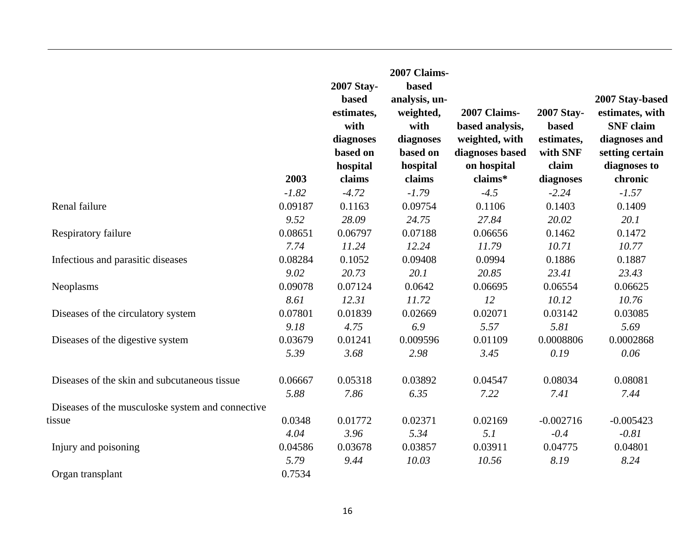|                                                  |         | 2007 Stay-<br><b>based</b><br>estimates,<br>with<br>diagnoses<br>based on<br>hospital | 2007 Claims-<br>based<br>analysis, un-<br>weighted,<br>with<br>diagnoses<br>based on<br>hospital | 2007 Claims-<br>based analysis,<br>weighted, with<br>diagnoses based<br>on hospital | 2007 Stay-<br><b>based</b><br>estimates,<br>with SNF<br>claim | 2007 Stay-based<br>estimates, with<br><b>SNF</b> claim<br>diagnoses and<br>setting certain<br>diagnoses to |
|--------------------------------------------------|---------|---------------------------------------------------------------------------------------|--------------------------------------------------------------------------------------------------|-------------------------------------------------------------------------------------|---------------------------------------------------------------|------------------------------------------------------------------------------------------------------------|
|                                                  | 2003    | claims                                                                                | claims                                                                                           | claims*                                                                             | diagnoses                                                     | chronic                                                                                                    |
|                                                  | $-1.82$ | $-4.72$                                                                               | $-1.79$                                                                                          | $-4.5$                                                                              | $-2.24$                                                       | $-1.57$                                                                                                    |
| Renal failure                                    | 0.09187 | 0.1163                                                                                | 0.09754                                                                                          | 0.1106                                                                              | 0.1403                                                        | 0.1409                                                                                                     |
|                                                  | 9.52    | 28.09                                                                                 | 24.75                                                                                            | 27.84                                                                               | 20.02                                                         | 20.1                                                                                                       |
| Respiratory failure                              | 0.08651 | 0.06797                                                                               | 0.07188                                                                                          | 0.06656                                                                             | 0.1462                                                        | 0.1472                                                                                                     |
|                                                  | 7.74    | 11.24                                                                                 | 12.24                                                                                            | 11.79                                                                               | 10.71                                                         | 10.77                                                                                                      |
| Infectious and parasitic diseases                | 0.08284 | 0.1052                                                                                | 0.09408                                                                                          | 0.0994                                                                              | 0.1886                                                        | 0.1887                                                                                                     |
|                                                  | 9.02    | 20.73                                                                                 | 20.1                                                                                             | 20.85                                                                               | 23.41                                                         | 23.43                                                                                                      |
| Neoplasms                                        | 0.09078 | 0.07124                                                                               | 0.0642                                                                                           | 0.06695                                                                             | 0.06554                                                       | 0.06625                                                                                                    |
|                                                  | 8.61    | 12.31                                                                                 | 11.72                                                                                            | 12                                                                                  | 10.12                                                         | 10.76                                                                                                      |
| Diseases of the circulatory system               | 0.07801 | 0.01839                                                                               | 0.02669                                                                                          | 0.02071                                                                             | 0.03142                                                       | 0.03085                                                                                                    |
|                                                  | 9.18    | 4.75                                                                                  | 6.9                                                                                              | 5.57                                                                                | 5.81                                                          | 5.69                                                                                                       |
| Diseases of the digestive system                 | 0.03679 | 0.01241                                                                               | 0.009596                                                                                         | 0.01109                                                                             | 0.0008806                                                     | 0.0002868                                                                                                  |
|                                                  | 5.39    | 3.68                                                                                  | 2.98                                                                                             | 3.45                                                                                | 0.19                                                          | 0.06                                                                                                       |
| Diseases of the skin and subcutaneous tissue     | 0.06667 | 0.05318                                                                               | 0.03892                                                                                          | 0.04547                                                                             | 0.08034                                                       | 0.08081                                                                                                    |
|                                                  | 5.88    | 7.86                                                                                  | 6.35                                                                                             | 7.22                                                                                | 7.41                                                          | 7.44                                                                                                       |
| Diseases of the musculoske system and connective |         |                                                                                       |                                                                                                  |                                                                                     |                                                               |                                                                                                            |
| tissue                                           | 0.0348  | 0.01772                                                                               | 0.02371                                                                                          | 0.02169                                                                             | $-0.002716$                                                   | $-0.005423$                                                                                                |
|                                                  | 4.04    | 3.96                                                                                  | 5.34                                                                                             | 5.1                                                                                 | $-0.4$                                                        | $-0.81$                                                                                                    |
| Injury and poisoning                             | 0.04586 | 0.03678                                                                               | 0.03857                                                                                          | 0.03911                                                                             | 0.04775                                                       | 0.04801                                                                                                    |
|                                                  | 5.79    | 9.44                                                                                  | 10.03                                                                                            | 10.56                                                                               | 8.19                                                          | 8.24                                                                                                       |
| Organ transplant                                 | 0.7534  |                                                                                       |                                                                                                  |                                                                                     |                                                               |                                                                                                            |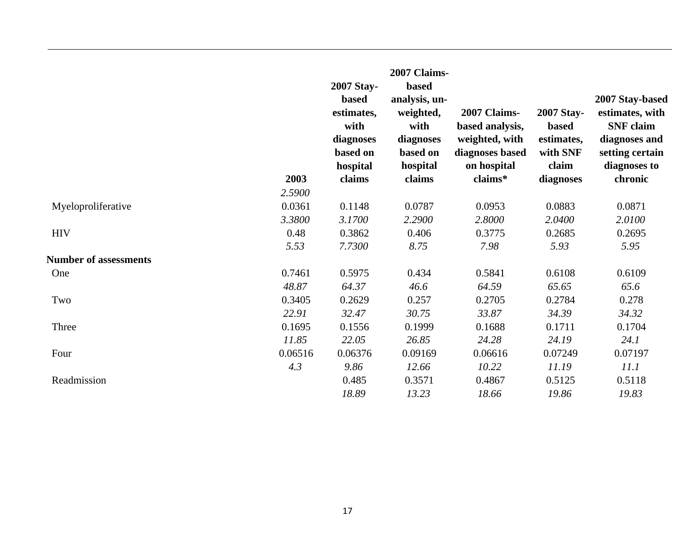|                              | 2003    | 2007 Stay-<br><b>based</b><br>estimates,<br>with<br>diagnoses<br>based on<br>hospital<br>claims | 2007 Claims-<br><b>based</b><br>analysis, un-<br>weighted,<br>with<br>diagnoses<br>based on<br>hospital<br>claims | 2007 Claims-<br>based analysis,<br>weighted, with<br>diagnoses based<br>on hospital<br>claims* | 2007 Stay-<br><b>based</b><br>estimates,<br>with SNF<br>claim<br>diagnoses | 2007 Stay-based<br>estimates, with<br><b>SNF</b> claim<br>diagnoses and<br>setting certain<br>diagnoses to<br>chronic |
|------------------------------|---------|-------------------------------------------------------------------------------------------------|-------------------------------------------------------------------------------------------------------------------|------------------------------------------------------------------------------------------------|----------------------------------------------------------------------------|-----------------------------------------------------------------------------------------------------------------------|
|                              | 2.5900  |                                                                                                 |                                                                                                                   |                                                                                                |                                                                            |                                                                                                                       |
| Myeloproliferative           | 0.0361  | 0.1148                                                                                          | 0.0787                                                                                                            | 0.0953                                                                                         | 0.0883                                                                     | 0.0871                                                                                                                |
|                              | 3.3800  | 3.1700                                                                                          | 2.2900                                                                                                            | 2.8000                                                                                         | 2.0400                                                                     | 2.0100                                                                                                                |
| <b>HIV</b>                   | 0.48    | 0.3862                                                                                          | 0.406                                                                                                             | 0.3775                                                                                         | 0.2685                                                                     | 0.2695                                                                                                                |
|                              | 5.53    | 7.7300                                                                                          | 8.75                                                                                                              | 7.98                                                                                           | 5.93                                                                       | 5.95                                                                                                                  |
| <b>Number of assessments</b> |         |                                                                                                 |                                                                                                                   |                                                                                                |                                                                            |                                                                                                                       |
| One                          | 0.7461  | 0.5975                                                                                          | 0.434                                                                                                             | 0.5841                                                                                         | 0.6108                                                                     | 0.6109                                                                                                                |
|                              | 48.87   | 64.37                                                                                           | 46.6                                                                                                              | 64.59                                                                                          | 65.65                                                                      | 65.6                                                                                                                  |
| Two                          | 0.3405  | 0.2629                                                                                          | 0.257                                                                                                             | 0.2705                                                                                         | 0.2784                                                                     | 0.278                                                                                                                 |
|                              | 22.91   | 32.47                                                                                           | 30.75                                                                                                             | 33.87                                                                                          | 34.39                                                                      | 34.32                                                                                                                 |
| Three                        | 0.1695  | 0.1556                                                                                          | 0.1999                                                                                                            | 0.1688                                                                                         | 0.1711                                                                     | 0.1704                                                                                                                |
|                              | 11.85   | 22.05                                                                                           | 26.85                                                                                                             | 24.28                                                                                          | 24.19                                                                      | 24.1                                                                                                                  |
| Four                         | 0.06516 | 0.06376                                                                                         | 0.09169                                                                                                           | 0.06616                                                                                        | 0.07249                                                                    | 0.07197                                                                                                               |
|                              | 4.3     | 9.86                                                                                            | 12.66                                                                                                             | 10.22                                                                                          | 11.19                                                                      | 11.1                                                                                                                  |
| Readmission                  |         | 0.485                                                                                           | 0.3571                                                                                                            | 0.4867                                                                                         | 0.5125                                                                     | 0.5118                                                                                                                |
|                              |         | 18.89                                                                                           | 13.23                                                                                                             | 18.66                                                                                          | 19.86                                                                      | 19.83                                                                                                                 |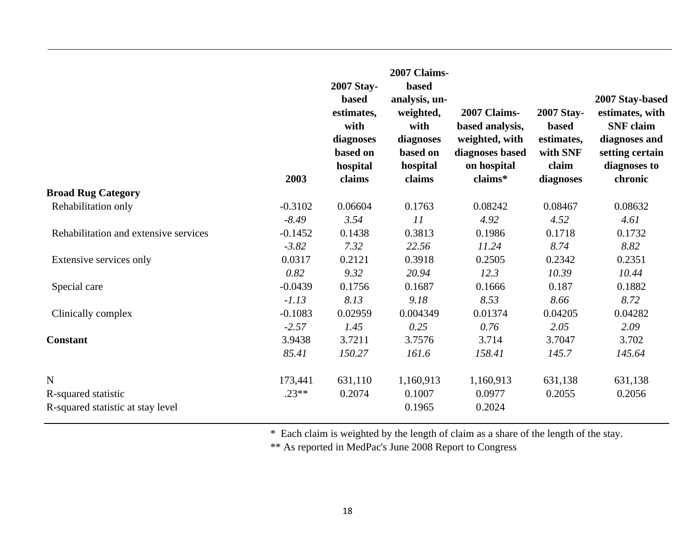|                                       | 2003      | 2007 Stay-<br><b>based</b><br>estimates,<br>with<br>diagnoses<br>based on<br>hospital<br>claims | 2007 Claims-<br>based<br>analysis, un-<br>weighted,<br>with<br>diagnoses<br>based on<br>hospital<br>claims | 2007 Claims-<br>based analysis,<br>weighted, with<br>diagnoses based<br>on hospital<br>claims* | <b>2007 Stay-</b><br><b>based</b><br>estimates,<br>with SNF<br>claim<br>diagnoses | 2007 Stay-based<br>estimates, with<br><b>SNF</b> claim<br>diagnoses and<br>setting certain<br>diagnoses to<br>chronic |
|---------------------------------------|-----------|-------------------------------------------------------------------------------------------------|------------------------------------------------------------------------------------------------------------|------------------------------------------------------------------------------------------------|-----------------------------------------------------------------------------------|-----------------------------------------------------------------------------------------------------------------------|
| <b>Broad Rug Category</b>             |           |                                                                                                 |                                                                                                            |                                                                                                |                                                                                   |                                                                                                                       |
| Rehabilitation only                   | $-0.3102$ | 0.06604                                                                                         | 0.1763                                                                                                     | 0.08242                                                                                        | 0.08467                                                                           | 0.08632                                                                                                               |
|                                       | $-8.49$   | 3.54                                                                                            | 11                                                                                                         | 4.92                                                                                           | 4.52                                                                              | 4.61                                                                                                                  |
| Rehabilitation and extensive services | $-0.1452$ | 0.1438                                                                                          | 0.3813                                                                                                     | 0.1986                                                                                         | 0.1718                                                                            | 0.1732                                                                                                                |
|                                       | $-3.82$   | 7.32                                                                                            | 22.56                                                                                                      | 11.24                                                                                          | 8.74                                                                              | 8.82                                                                                                                  |
| Extensive services only               | 0.0317    | 0.2121                                                                                          | 0.3918                                                                                                     | 0.2505                                                                                         | 0.2342                                                                            | 0.2351                                                                                                                |
|                                       | 0.82      | 9.32                                                                                            | 20.94                                                                                                      | 12.3                                                                                           | 10.39                                                                             | 10.44                                                                                                                 |
| Special care                          | $-0.0439$ | 0.1756                                                                                          | 0.1687                                                                                                     | 0.1666                                                                                         | 0.187                                                                             | 0.1882                                                                                                                |
|                                       | $-1.13$   | 8.13                                                                                            | 9.18                                                                                                       | 8.53                                                                                           | 8.66                                                                              | 8.72                                                                                                                  |
| Clinically complex                    | $-0.1083$ | 0.02959                                                                                         | 0.004349                                                                                                   | 0.01374                                                                                        | 0.04205                                                                           | 0.04282                                                                                                               |
|                                       | $-2.57$   | 1.45                                                                                            | 0.25                                                                                                       | 0.76                                                                                           | 2.05                                                                              | 2.09                                                                                                                  |
| <b>Constant</b>                       | 3.9438    | 3.7211                                                                                          | 3.7576                                                                                                     | 3.714                                                                                          | 3.7047                                                                            | 3.702                                                                                                                 |
|                                       | 85.41     | 150.27                                                                                          | 161.6                                                                                                      | 158.41                                                                                         | 145.7                                                                             | 145.64                                                                                                                |
| $\mathbf N$                           | 173,441   | 631,110                                                                                         | 1,160,913                                                                                                  | 1,160,913                                                                                      | 631,138                                                                           | 631,138                                                                                                               |
| R-squared statistic                   | $.23**$   | 0.2074                                                                                          | 0.1007                                                                                                     | 0.0977                                                                                         | 0.2055                                                                            | 0.2056                                                                                                                |
| R-squared statistic at stay level     |           |                                                                                                 | 0.1965                                                                                                     | 0.2024                                                                                         |                                                                                   |                                                                                                                       |

\* Each claim is weighted by the length of claim as a share of the length of the stay.

\*\* As reported in MedPac's June 2008 Report to Congress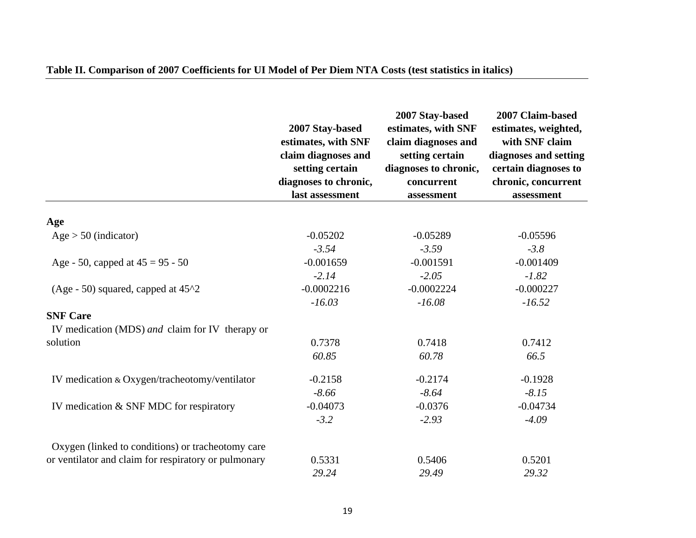|                                                      | 2007 Stay-based<br>estimates, with SNF<br>claim diagnoses and<br>setting certain<br>diagnoses to chronic,<br>last assessment | 2007 Stay-based<br>estimates, with SNF<br>claim diagnoses and<br>setting certain<br>diagnoses to chronic,<br>concurrent<br>assessment | 2007 Claim-based<br>estimates, weighted,<br>with SNF claim<br>diagnoses and setting<br>certain diagnoses to<br>chronic, concurrent<br>assessment |
|------------------------------------------------------|------------------------------------------------------------------------------------------------------------------------------|---------------------------------------------------------------------------------------------------------------------------------------|--------------------------------------------------------------------------------------------------------------------------------------------------|
|                                                      |                                                                                                                              |                                                                                                                                       |                                                                                                                                                  |
| Age                                                  |                                                                                                                              |                                                                                                                                       |                                                                                                                                                  |
| $Age > 50$ (indicator)                               | $-0.05202$                                                                                                                   | $-0.05289$                                                                                                                            | $-0.05596$                                                                                                                                       |
|                                                      | $-3.54$                                                                                                                      | $-3.59$                                                                                                                               | $-3.8$                                                                                                                                           |
| Age - 50, capped at $45 = 95 - 50$                   | $-0.001659$                                                                                                                  | $-0.001591$                                                                                                                           | $-0.001409$                                                                                                                                      |
|                                                      | $-2.14$                                                                                                                      | $-2.05$                                                                                                                               | $-1.82$                                                                                                                                          |
| (Age - 50) squared, capped at $45^{\text{A}}2$       | $-0.0002216$                                                                                                                 | $-0.0002224$                                                                                                                          | $-0.000227$                                                                                                                                      |
|                                                      | $-16.03$                                                                                                                     | $-16.08$                                                                                                                              | $-16.52$                                                                                                                                         |
| <b>SNF Care</b>                                      |                                                                                                                              |                                                                                                                                       |                                                                                                                                                  |
| IV medication (MDS) and claim for IV therapy or      |                                                                                                                              |                                                                                                                                       |                                                                                                                                                  |
| solution                                             | 0.7378                                                                                                                       | 0.7418                                                                                                                                | 0.7412                                                                                                                                           |
|                                                      | 60.85                                                                                                                        | 60.78                                                                                                                                 | 66.5                                                                                                                                             |
| IV medication & Oxygen/tracheotomy/ventilator        | $-0.2158$                                                                                                                    | $-0.2174$                                                                                                                             | $-0.1928$                                                                                                                                        |
|                                                      | $-8.66$                                                                                                                      | $-8.64$                                                                                                                               | $-8.15$                                                                                                                                          |
| IV medication & SNF MDC for respiratory              | $-0.04073$                                                                                                                   | $-0.0376$                                                                                                                             | $-0.04734$                                                                                                                                       |
|                                                      | $-3.2$                                                                                                                       | $-2.93$                                                                                                                               | $-4.09$                                                                                                                                          |
| Oxygen (linked to conditions) or tracheotomy care    |                                                                                                                              |                                                                                                                                       |                                                                                                                                                  |
| or ventilator and claim for respiratory or pulmonary | 0.5331                                                                                                                       | 0.5406                                                                                                                                | 0.5201                                                                                                                                           |
|                                                      | 29.24                                                                                                                        | 29.49                                                                                                                                 | 29.32                                                                                                                                            |

### **Table II. Comparison of 2007 Coefficients for UI Model of Per Diem NTA Costs (test statistics in italics)**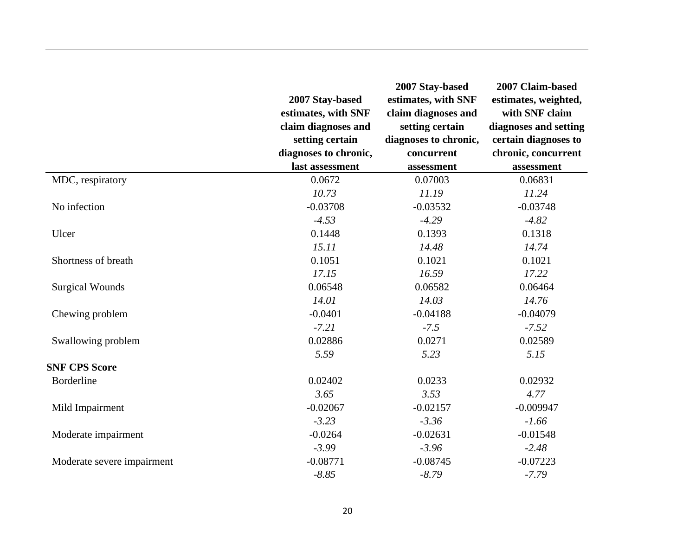|                            | 2007 Stay-based<br>estimates, with SNF<br>claim diagnoses and<br>setting certain<br>diagnoses to chronic,<br>last assessment | 2007 Stay-based<br>estimates, with SNF<br>claim diagnoses and<br>setting certain<br>diagnoses to chronic,<br>concurrent<br>assessment | 2007 Claim-based<br>estimates, weighted,<br>with SNF claim<br>diagnoses and setting<br>certain diagnoses to<br>chronic, concurrent<br>assessment |
|----------------------------|------------------------------------------------------------------------------------------------------------------------------|---------------------------------------------------------------------------------------------------------------------------------------|--------------------------------------------------------------------------------------------------------------------------------------------------|
| MDC, respiratory           | 0.0672                                                                                                                       | 0.07003                                                                                                                               | 0.06831                                                                                                                                          |
|                            | 10.73                                                                                                                        | 11.19                                                                                                                                 | 11.24                                                                                                                                            |
| No infection               | $-0.03708$                                                                                                                   | $-0.03532$                                                                                                                            | $-0.03748$                                                                                                                                       |
|                            | $-4.53$                                                                                                                      | $-4.29$                                                                                                                               | $-4.82$                                                                                                                                          |
| Ulcer                      | 0.1448                                                                                                                       | 0.1393                                                                                                                                | 0.1318                                                                                                                                           |
|                            | 15.11                                                                                                                        | 14.48                                                                                                                                 | 14.74                                                                                                                                            |
| Shortness of breath        | 0.1051                                                                                                                       | 0.1021                                                                                                                                | 0.1021                                                                                                                                           |
|                            | 17.15                                                                                                                        | 16.59                                                                                                                                 | 17.22                                                                                                                                            |
| <b>Surgical Wounds</b>     | 0.06548                                                                                                                      | 0.06582                                                                                                                               | 0.06464                                                                                                                                          |
|                            | 14.01                                                                                                                        | 14.03                                                                                                                                 | 14.76                                                                                                                                            |
| Chewing problem            | $-0.0401$                                                                                                                    | $-0.04188$                                                                                                                            | $-0.04079$                                                                                                                                       |
|                            | $-7.21$                                                                                                                      | $-7.5$                                                                                                                                | $-7.52$                                                                                                                                          |
| Swallowing problem         | 0.02886                                                                                                                      | 0.0271                                                                                                                                | 0.02589                                                                                                                                          |
|                            | 5.59                                                                                                                         | 5.23                                                                                                                                  | 5.15                                                                                                                                             |
| <b>SNF CPS Score</b>       |                                                                                                                              |                                                                                                                                       |                                                                                                                                                  |
| <b>Borderline</b>          | 0.02402                                                                                                                      | 0.0233                                                                                                                                | 0.02932                                                                                                                                          |
|                            | 3.65                                                                                                                         | 3.53                                                                                                                                  | 4.77                                                                                                                                             |
| Mild Impairment            | $-0.02067$                                                                                                                   | $-0.02157$                                                                                                                            | $-0.009947$                                                                                                                                      |
|                            | $-3.23$                                                                                                                      | $-3.36$                                                                                                                               | $-1.66$                                                                                                                                          |
| Moderate impairment        | $-0.0264$                                                                                                                    | $-0.02631$                                                                                                                            | $-0.01548$                                                                                                                                       |
|                            | $-3.99$                                                                                                                      | $-3.96$                                                                                                                               | $-2.48$                                                                                                                                          |
| Moderate severe impairment | $-0.08771$                                                                                                                   | $-0.08745$                                                                                                                            | $-0.07223$                                                                                                                                       |
|                            | $-8.85$                                                                                                                      | $-8.79$                                                                                                                               | $-7.79$                                                                                                                                          |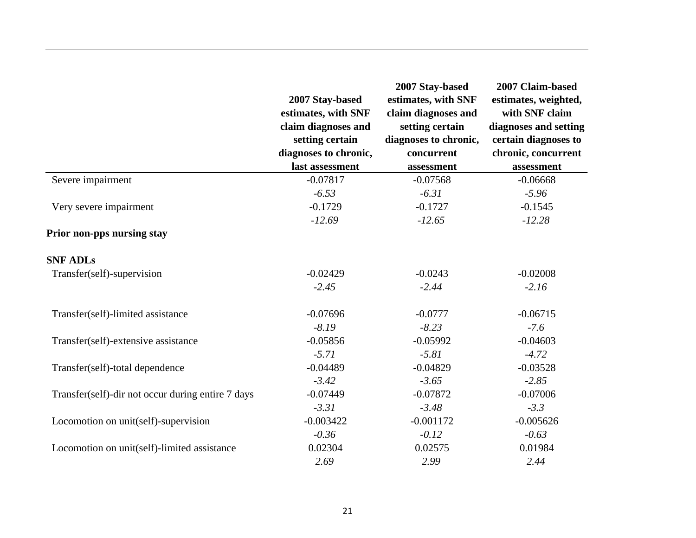|                                                   | 2007 Stay-based<br>estimates, with SNF<br>claim diagnoses and<br>setting certain<br>diagnoses to chronic, | 2007 Stay-based<br>estimates, with SNF<br>claim diagnoses and<br>setting certain<br>diagnoses to chronic,<br>concurrent | 2007 Claim-based<br>estimates, weighted,<br>with SNF claim<br>diagnoses and setting<br>certain diagnoses to<br>chronic, concurrent |
|---------------------------------------------------|-----------------------------------------------------------------------------------------------------------|-------------------------------------------------------------------------------------------------------------------------|------------------------------------------------------------------------------------------------------------------------------------|
|                                                   | last assessment                                                                                           | assessment                                                                                                              | assessment                                                                                                                         |
| Severe impairment                                 | $-0.07817$                                                                                                | $-0.07568$                                                                                                              | $-0.06668$                                                                                                                         |
|                                                   | $-6.53$                                                                                                   | $-6.31$                                                                                                                 | $-5.96$                                                                                                                            |
| Very severe impairment                            | $-0.1729$                                                                                                 | $-0.1727$                                                                                                               | $-0.1545$                                                                                                                          |
|                                                   | $-12.69$                                                                                                  | $-12.65$                                                                                                                | $-12.28$                                                                                                                           |
| Prior non-pps nursing stay                        |                                                                                                           |                                                                                                                         |                                                                                                                                    |
| <b>SNF ADLs</b>                                   |                                                                                                           |                                                                                                                         |                                                                                                                                    |
| Transfer(self)-supervision                        | $-0.02429$                                                                                                | $-0.0243$                                                                                                               | $-0.02008$                                                                                                                         |
|                                                   | $-2.45$                                                                                                   | $-2.44$                                                                                                                 | $-2.16$                                                                                                                            |
| Transfer(self)-limited assistance                 | $-0.07696$                                                                                                | $-0.0777$                                                                                                               | $-0.06715$                                                                                                                         |
|                                                   | $-8.19$                                                                                                   | $-8.23$                                                                                                                 | $-7.6$                                                                                                                             |
| Transfer(self)-extensive assistance               | $-0.05856$                                                                                                | $-0.05992$                                                                                                              | $-0.04603$                                                                                                                         |
|                                                   | $-5.71$                                                                                                   | $-5.81$                                                                                                                 | $-4.72$                                                                                                                            |
| Transfer(self)-total dependence                   | $-0.04489$                                                                                                | $-0.04829$                                                                                                              | $-0.03528$                                                                                                                         |
|                                                   | $-3.42$                                                                                                   | $-3.65$                                                                                                                 | $-2.85$                                                                                                                            |
| Transfer(self)-dir not occur during entire 7 days | $-0.07449$                                                                                                | $-0.07872$                                                                                                              | $-0.07006$                                                                                                                         |
|                                                   | $-3.31$                                                                                                   | $-3.48$                                                                                                                 | $-3.3$                                                                                                                             |
| Locomotion on unit(self)-supervision              | $-0.003422$                                                                                               | $-0.001172$                                                                                                             | $-0.005626$                                                                                                                        |
|                                                   | $-0.36$                                                                                                   | $-0.12$                                                                                                                 | $-0.63$                                                                                                                            |
| Locomotion on unit(self)-limited assistance       | 0.02304                                                                                                   | 0.02575                                                                                                                 | 0.01984                                                                                                                            |
|                                                   | 2.69                                                                                                      | 2.99                                                                                                                    | 2.44                                                                                                                               |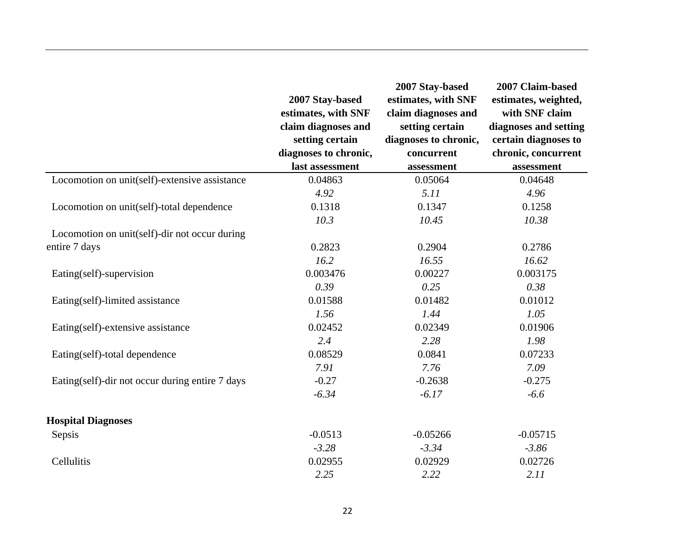|                                                 | 2007 Stay-based<br>estimates, with SNF<br>claim diagnoses and<br>setting certain<br>diagnoses to chronic,<br>last assessment | 2007 Stay-based<br>estimates, with SNF<br>claim diagnoses and<br>setting certain<br>diagnoses to chronic,<br>concurrent<br>assessment | 2007 Claim-based<br>estimates, weighted,<br>with SNF claim<br>diagnoses and setting<br>certain diagnoses to<br>chronic, concurrent<br>assessment |
|-------------------------------------------------|------------------------------------------------------------------------------------------------------------------------------|---------------------------------------------------------------------------------------------------------------------------------------|--------------------------------------------------------------------------------------------------------------------------------------------------|
| Locomotion on unit(self)-extensive assistance   | 0.04863                                                                                                                      | 0.05064                                                                                                                               | 0.04648                                                                                                                                          |
|                                                 | 4.92                                                                                                                         | 5.11                                                                                                                                  | 4.96                                                                                                                                             |
| Locomotion on unit(self)-total dependence       | 0.1318                                                                                                                       | 0.1347                                                                                                                                | 0.1258                                                                                                                                           |
|                                                 | 10.3                                                                                                                         | 10.45                                                                                                                                 | 10.38                                                                                                                                            |
| Locomotion on unit(self)-dir not occur during   |                                                                                                                              |                                                                                                                                       |                                                                                                                                                  |
| entire 7 days                                   | 0.2823                                                                                                                       | 0.2904                                                                                                                                | 0.2786                                                                                                                                           |
|                                                 | 16.2                                                                                                                         | 16.55                                                                                                                                 | 16.62                                                                                                                                            |
| Eating(self)-supervision                        | 0.003476                                                                                                                     | 0.00227                                                                                                                               | 0.003175                                                                                                                                         |
|                                                 | 0.39                                                                                                                         | 0.25                                                                                                                                  | 0.38                                                                                                                                             |
| Eating(self)-limited assistance                 | 0.01588                                                                                                                      | 0.01482                                                                                                                               | 0.01012                                                                                                                                          |
|                                                 | 1.56                                                                                                                         | 1.44                                                                                                                                  | 1.05                                                                                                                                             |
| Eating(self)-extensive assistance               | 0.02452                                                                                                                      | 0.02349                                                                                                                               | 0.01906                                                                                                                                          |
|                                                 | 2.4                                                                                                                          | 2.28                                                                                                                                  | 1.98                                                                                                                                             |
| Eating(self)-total dependence                   | 0.08529                                                                                                                      | 0.0841                                                                                                                                | 0.07233                                                                                                                                          |
|                                                 | 7.91                                                                                                                         | 7.76                                                                                                                                  | 7.09                                                                                                                                             |
| Eating(self)-dir not occur during entire 7 days | $-0.27$                                                                                                                      | $-0.2638$                                                                                                                             | $-0.275$                                                                                                                                         |
|                                                 | $-6.34$                                                                                                                      | $-6.17$                                                                                                                               | $-6.6$                                                                                                                                           |
| <b>Hospital Diagnoses</b>                       |                                                                                                                              |                                                                                                                                       |                                                                                                                                                  |
| Sepsis                                          | $-0.0513$                                                                                                                    | $-0.05266$                                                                                                                            | $-0.05715$                                                                                                                                       |
|                                                 | $-3.28$                                                                                                                      | $-3.34$                                                                                                                               | $-3.86$                                                                                                                                          |
| Cellulitis                                      | 0.02955                                                                                                                      | 0.02929                                                                                                                               | 0.02726                                                                                                                                          |
|                                                 | 2.25                                                                                                                         | 2.22                                                                                                                                  | 2.11                                                                                                                                             |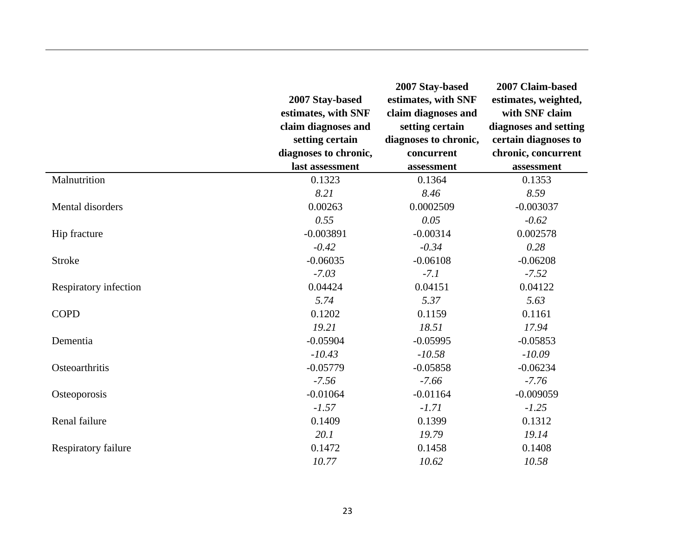|                       | 2007 Stay-based<br>estimates, with SNF<br>claim diagnoses and<br>setting certain<br>diagnoses to chronic, | 2007 Stay-based<br>estimates, with SNF<br>claim diagnoses and<br>setting certain<br>diagnoses to chronic,<br>concurrent | 2007 Claim-based<br>estimates, weighted,<br>with SNF claim<br>diagnoses and setting<br>certain diagnoses to<br>chronic, concurrent |
|-----------------------|-----------------------------------------------------------------------------------------------------------|-------------------------------------------------------------------------------------------------------------------------|------------------------------------------------------------------------------------------------------------------------------------|
|                       | last assessment                                                                                           | assessment                                                                                                              | assessment                                                                                                                         |
| Malnutrition          | 0.1323                                                                                                    | 0.1364                                                                                                                  | 0.1353                                                                                                                             |
|                       | 8.21                                                                                                      | 8.46                                                                                                                    | 8.59                                                                                                                               |
| Mental disorders      | 0.00263                                                                                                   | 0.0002509                                                                                                               | $-0.003037$                                                                                                                        |
|                       | 0.55                                                                                                      | 0.05                                                                                                                    | $-0.62$                                                                                                                            |
| Hip fracture          | $-0.003891$                                                                                               | $-0.00314$                                                                                                              | 0.002578                                                                                                                           |
|                       | $-0.42$                                                                                                   | $-0.34$                                                                                                                 | 0.28                                                                                                                               |
| <b>Stroke</b>         | $-0.06035$                                                                                                | $-0.06108$                                                                                                              | $-0.06208$                                                                                                                         |
|                       | $-7.03$                                                                                                   | $-7.1$                                                                                                                  | $-7.52$                                                                                                                            |
| Respiratory infection | 0.04424                                                                                                   | 0.04151                                                                                                                 | 0.04122                                                                                                                            |
|                       | 5.74                                                                                                      | 5.37                                                                                                                    | 5.63                                                                                                                               |
| <b>COPD</b>           | 0.1202                                                                                                    | 0.1159                                                                                                                  | 0.1161                                                                                                                             |
|                       | 19.21                                                                                                     | 18.51                                                                                                                   | 17.94                                                                                                                              |
| Dementia              | $-0.05904$                                                                                                | $-0.05995$                                                                                                              | $-0.05853$                                                                                                                         |
|                       | $-10.43$                                                                                                  | $-10.58$                                                                                                                | $-10.09$                                                                                                                           |
| Osteoarthritis        | $-0.05779$                                                                                                | $-0.05858$                                                                                                              | $-0.06234$                                                                                                                         |
|                       | $-7.56$                                                                                                   | $-7.66$                                                                                                                 | $-7.76$                                                                                                                            |
| Osteoporosis          | $-0.01064$                                                                                                | $-0.01164$                                                                                                              | $-0.009059$                                                                                                                        |
|                       | $-1.57$                                                                                                   | $-1.71$                                                                                                                 | $-1.25$                                                                                                                            |
| Renal failure         | 0.1409                                                                                                    | 0.1399                                                                                                                  | 0.1312                                                                                                                             |
|                       | 20.1                                                                                                      | 19.79                                                                                                                   | 19.14                                                                                                                              |
| Respiratory failure   | 0.1472                                                                                                    | 0.1458                                                                                                                  | 0.1408                                                                                                                             |
|                       | 10.77                                                                                                     | 10.62                                                                                                                   | 10.58                                                                                                                              |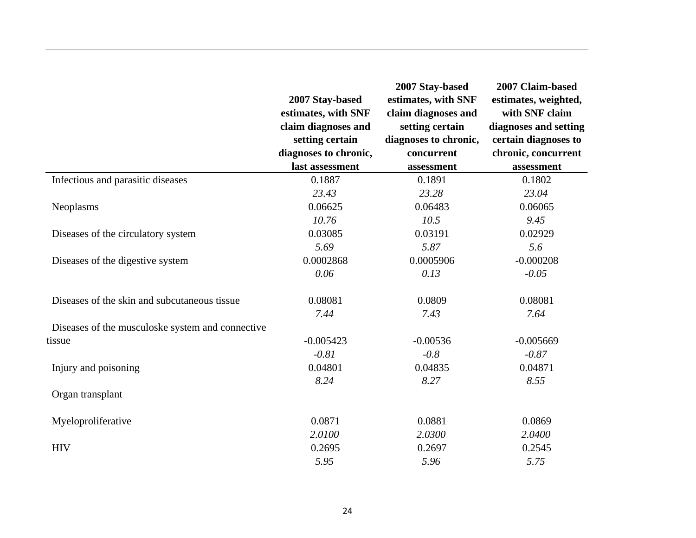|                                                  | 2007 Stay-based<br>estimates, with SNF<br>claim diagnoses and<br>setting certain<br>diagnoses to chronic,<br>last assessment | 2007 Stay-based<br>estimates, with SNF<br>claim diagnoses and<br>setting certain<br>diagnoses to chronic,<br>concurrent | 2007 Claim-based<br>estimates, weighted,<br>with SNF claim<br>diagnoses and setting<br>certain diagnoses to<br>chronic, concurrent |
|--------------------------------------------------|------------------------------------------------------------------------------------------------------------------------------|-------------------------------------------------------------------------------------------------------------------------|------------------------------------------------------------------------------------------------------------------------------------|
|                                                  |                                                                                                                              | assessment                                                                                                              | assessment                                                                                                                         |
| Infectious and parasitic diseases                | 0.1887                                                                                                                       | 0.1891                                                                                                                  | 0.1802                                                                                                                             |
|                                                  | 23.43                                                                                                                        | 23.28                                                                                                                   | 23.04                                                                                                                              |
| Neoplasms                                        | 0.06625                                                                                                                      | 0.06483                                                                                                                 | 0.06065                                                                                                                            |
|                                                  | 10.76                                                                                                                        | 10.5                                                                                                                    | 9.45                                                                                                                               |
| Diseases of the circulatory system               | 0.03085                                                                                                                      | 0.03191                                                                                                                 | 0.02929                                                                                                                            |
|                                                  | 5.69                                                                                                                         | 5.87                                                                                                                    | 5.6                                                                                                                                |
| Diseases of the digestive system                 | 0.0002868                                                                                                                    | 0.0005906                                                                                                               | $-0.000208$                                                                                                                        |
|                                                  | 0.06                                                                                                                         | 0.13                                                                                                                    | $-0.05$                                                                                                                            |
| Diseases of the skin and subcutaneous tissue     | 0.08081                                                                                                                      | 0.0809                                                                                                                  | 0.08081                                                                                                                            |
|                                                  | 7.44                                                                                                                         | 7.43                                                                                                                    | 7.64                                                                                                                               |
| Diseases of the musculoske system and connective |                                                                                                                              |                                                                                                                         |                                                                                                                                    |
| tissue                                           | $-0.005423$                                                                                                                  | $-0.00536$                                                                                                              | $-0.005669$                                                                                                                        |
|                                                  | $-0.81$                                                                                                                      | $-0.8$                                                                                                                  | $-0.87$                                                                                                                            |
| Injury and poisoning                             | 0.04801                                                                                                                      | 0.04835                                                                                                                 | 0.04871                                                                                                                            |
|                                                  | 8.24                                                                                                                         | 8.27                                                                                                                    | 8.55                                                                                                                               |
| Organ transplant                                 |                                                                                                                              |                                                                                                                         |                                                                                                                                    |
| Myeloproliferative                               | 0.0871                                                                                                                       | 0.0881                                                                                                                  | 0.0869                                                                                                                             |
|                                                  | 2.0100                                                                                                                       | 2.0300                                                                                                                  | 2.0400                                                                                                                             |
| <b>HIV</b>                                       | 0.2695                                                                                                                       | 0.2697                                                                                                                  | 0.2545                                                                                                                             |
|                                                  | 5.95                                                                                                                         | 5.96                                                                                                                    | 5.75                                                                                                                               |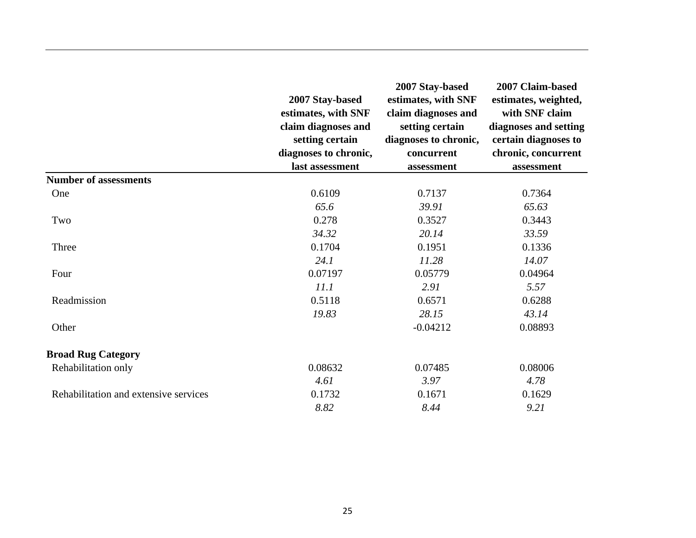|                                       | 2007 Stay-based<br>estimates, with SNF<br>claim diagnoses and<br>setting certain<br>diagnoses to chronic,<br>last assessment | 2007 Stay-based<br>estimates, with SNF<br>claim diagnoses and<br>setting certain<br>diagnoses to chronic,<br>concurrent<br>assessment | 2007 Claim-based<br>estimates, weighted,<br>with SNF claim<br>diagnoses and setting<br>certain diagnoses to<br>chronic, concurrent<br>assessment |
|---------------------------------------|------------------------------------------------------------------------------------------------------------------------------|---------------------------------------------------------------------------------------------------------------------------------------|--------------------------------------------------------------------------------------------------------------------------------------------------|
| <b>Number of assessments</b>          |                                                                                                                              |                                                                                                                                       |                                                                                                                                                  |
| One                                   | 0.6109                                                                                                                       | 0.7137                                                                                                                                | 0.7364                                                                                                                                           |
|                                       | 65.6                                                                                                                         | 39.91                                                                                                                                 | 65.63                                                                                                                                            |
| Two                                   | 0.278                                                                                                                        | 0.3527                                                                                                                                | 0.3443                                                                                                                                           |
|                                       | 34.32                                                                                                                        | 20.14                                                                                                                                 | 33.59                                                                                                                                            |
| Three                                 | 0.1704                                                                                                                       | 0.1951                                                                                                                                | 0.1336                                                                                                                                           |
|                                       | 24.1                                                                                                                         | 11.28                                                                                                                                 | 14.07                                                                                                                                            |
| Four                                  | 0.07197                                                                                                                      | 0.05779                                                                                                                               | 0.04964                                                                                                                                          |
|                                       | 11.1                                                                                                                         | 2.91                                                                                                                                  | 5.57                                                                                                                                             |
| Readmission                           | 0.5118                                                                                                                       | 0.6571                                                                                                                                | 0.6288                                                                                                                                           |
|                                       | 19.83                                                                                                                        | 28.15                                                                                                                                 | 43.14                                                                                                                                            |
| Other                                 |                                                                                                                              | $-0.04212$                                                                                                                            | 0.08893                                                                                                                                          |
| <b>Broad Rug Category</b>             |                                                                                                                              |                                                                                                                                       |                                                                                                                                                  |
| Rehabilitation only                   | 0.08632                                                                                                                      | 0.07485                                                                                                                               | 0.08006                                                                                                                                          |
|                                       | 4.61                                                                                                                         | 3.97                                                                                                                                  | 4.78                                                                                                                                             |
| Rehabilitation and extensive services | 0.1732                                                                                                                       | 0.1671                                                                                                                                | 0.1629                                                                                                                                           |
|                                       | 8.82                                                                                                                         | 8.44                                                                                                                                  | 9.21                                                                                                                                             |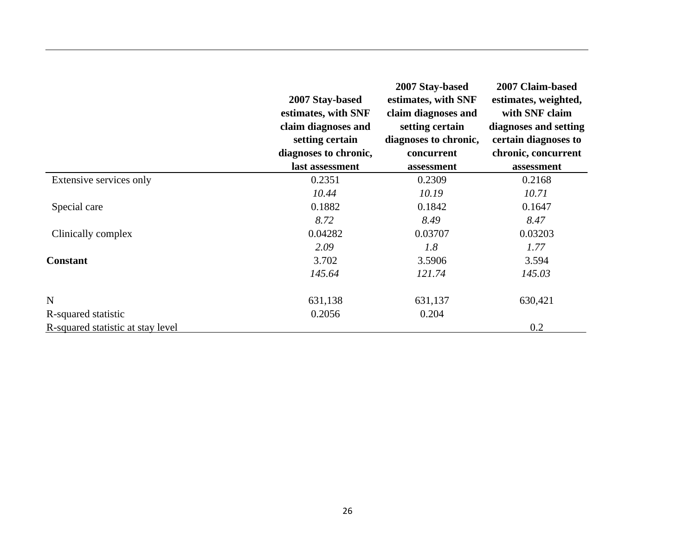|                                   | 2007 Stay-based<br>estimates, with SNF<br>claim diagnoses and<br>setting certain<br>diagnoses to chronic, | 2007 Stay-based<br>estimates, with SNF<br>claim diagnoses and<br>setting certain<br>diagnoses to chronic,<br>concurrent | 2007 Claim-based<br>estimates, weighted,<br>with SNF claim<br>diagnoses and setting<br>certain diagnoses to<br>chronic, concurrent |
|-----------------------------------|-----------------------------------------------------------------------------------------------------------|-------------------------------------------------------------------------------------------------------------------------|------------------------------------------------------------------------------------------------------------------------------------|
|                                   | last assessment                                                                                           | assessment                                                                                                              | assessment                                                                                                                         |
| Extensive services only           | 0.2351                                                                                                    | 0.2309                                                                                                                  | 0.2168                                                                                                                             |
|                                   | 10.44                                                                                                     | 10.19                                                                                                                   | 10.71                                                                                                                              |
| Special care                      | 0.1882                                                                                                    | 0.1842                                                                                                                  | 0.1647                                                                                                                             |
|                                   | 8.72                                                                                                      | 8.49                                                                                                                    | 8.47                                                                                                                               |
| Clinically complex                | 0.04282                                                                                                   | 0.03707                                                                                                                 | 0.03203                                                                                                                            |
|                                   | 2.09                                                                                                      | 1.8                                                                                                                     | 1.77                                                                                                                               |
| <b>Constant</b>                   | 3.702                                                                                                     | 3.5906                                                                                                                  | 3.594                                                                                                                              |
|                                   | 145.64                                                                                                    | 121.74                                                                                                                  | 145.03                                                                                                                             |
| $\mathbf N$                       | 631,138                                                                                                   | 631,137                                                                                                                 | 630,421                                                                                                                            |
| R-squared statistic               | 0.2056                                                                                                    | 0.204                                                                                                                   |                                                                                                                                    |
| R-squared statistic at stay level |                                                                                                           |                                                                                                                         | 0.2                                                                                                                                |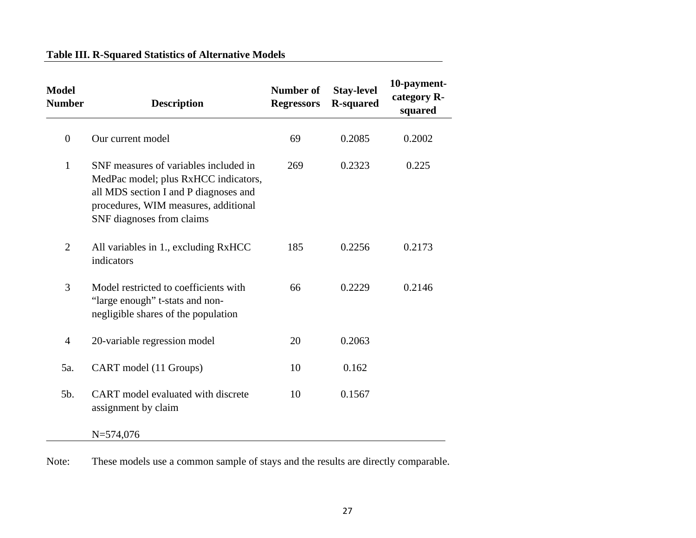#### **Table III. R-Squared Statistics of Alternative Models**

| <b>Model</b><br><b>Number</b> | <b>Description</b>                                                                                                                                                                          | <b>Number of</b><br><b>Regressors</b> | <b>Stay-level</b><br><b>R-squared</b> | 10-payment-<br>category R-<br>squared |
|-------------------------------|---------------------------------------------------------------------------------------------------------------------------------------------------------------------------------------------|---------------------------------------|---------------------------------------|---------------------------------------|
| $\boldsymbol{0}$              | Our current model                                                                                                                                                                           | 69                                    | 0.2085                                | 0.2002                                |
| $\mathbf{1}$                  | SNF measures of variables included in<br>MedPac model; plus RxHCC indicators,<br>all MDS section I and P diagnoses and<br>procedures, WIM measures, additional<br>SNF diagnoses from claims | 269                                   | 0.2323                                | 0.225                                 |
| $\overline{2}$                | All variables in 1., excluding RxHCC<br>indicators                                                                                                                                          | 185                                   | 0.2256                                | 0.2173                                |
| 3                             | Model restricted to coefficients with<br>"large enough" t-stats and non-<br>negligible shares of the population                                                                             | 66                                    | 0.2229                                | 0.2146                                |
| $\overline{4}$                | 20-variable regression model                                                                                                                                                                | 20                                    | 0.2063                                |                                       |
| 5a.                           | CART model (11 Groups)                                                                                                                                                                      | 10                                    | 0.162                                 |                                       |
| 5b.                           | CART model evaluated with discrete<br>assignment by claim                                                                                                                                   | 10                                    | 0.1567                                |                                       |
|                               | $N = 574,076$                                                                                                                                                                               |                                       |                                       |                                       |

Note: These models use a common sample of stays and the results are directly comparable.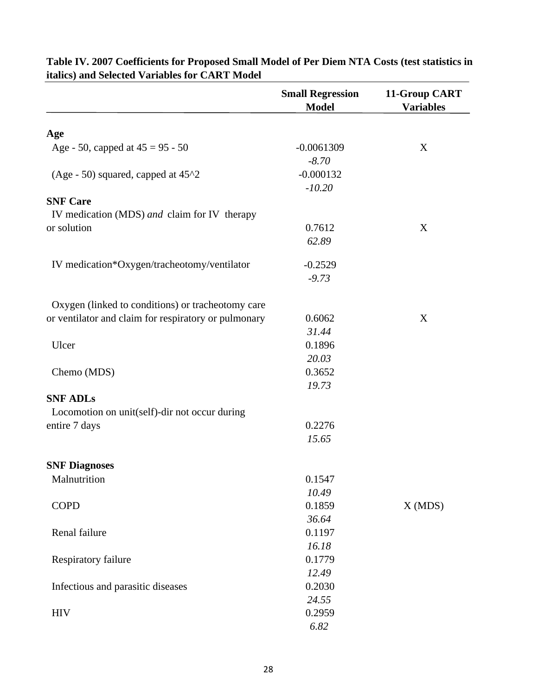|                                                      | <b>Small Regression</b><br><b>Model</b> | 11-Group CART<br><b>Variables</b> |
|------------------------------------------------------|-----------------------------------------|-----------------------------------|
| Age                                                  |                                         |                                   |
| Age - 50, capped at $45 = 95 - 50$                   | $-0.0061309$                            | X                                 |
| (Age - 50) squared, capped at $45^{\text{A}}2$       | $-8.70$<br>$-0.000132$<br>$-10.20$      |                                   |
| <b>SNF Care</b>                                      |                                         |                                   |
| IV medication (MDS) and claim for IV therapy         |                                         |                                   |
| or solution                                          | 0.7612                                  | X                                 |
|                                                      | 62.89                                   |                                   |
| IV medication*Oxygen/tracheotomy/ventilator          | $-0.2529$                               |                                   |
|                                                      | $-9.73$                                 |                                   |
| Oxygen (linked to conditions) or tracheotomy care    |                                         |                                   |
| or ventilator and claim for respiratory or pulmonary | 0.6062                                  | $\mathbf X$                       |
|                                                      | 31.44                                   |                                   |
| Ulcer                                                | 0.1896                                  |                                   |
|                                                      | 20.03                                   |                                   |
| Chemo (MDS)                                          | 0.3652                                  |                                   |
|                                                      | 19.73                                   |                                   |
| <b>SNF ADLs</b>                                      |                                         |                                   |
| Locomotion on unit(self)-dir not occur during        |                                         |                                   |
| entire 7 days                                        | 0.2276                                  |                                   |
|                                                      | 15.65                                   |                                   |
| <b>SNF Diagnoses</b>                                 |                                         |                                   |
| Malnutrition                                         | 0.1547                                  |                                   |
|                                                      | 10.49                                   |                                   |
| <b>COPD</b>                                          | 0.1859                                  | X(MDS)                            |
|                                                      | 36.64                                   |                                   |
| Renal failure                                        | 0.1197                                  |                                   |
|                                                      | 16.18                                   |                                   |
| Respiratory failure                                  | 0.1779                                  |                                   |
|                                                      | 12.49                                   |                                   |
| Infectious and parasitic diseases                    | 0.2030                                  |                                   |
|                                                      | 24.55                                   |                                   |
| <b>HIV</b>                                           | 0.2959                                  |                                   |
|                                                      | 6.82                                    |                                   |

**Table IV. 2007 Coefficients for Proposed Small Model of Per Diem NTA Costs (test statistics in italics) and Selected Variables for CART Model**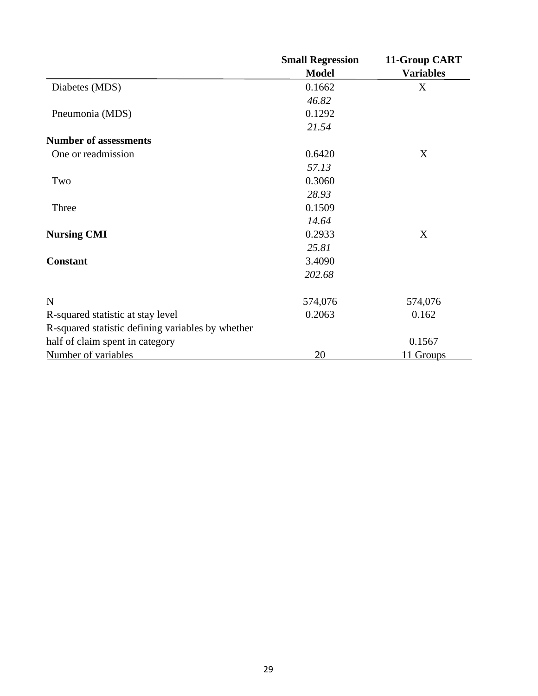|                                                   | <b>Small Regression</b><br><b>Model</b> | 11-Group CART<br><b>Variables</b> |
|---------------------------------------------------|-----------------------------------------|-----------------------------------|
| Diabetes (MDS)                                    | 0.1662                                  | X                                 |
|                                                   | 46.82                                   |                                   |
| Pneumonia (MDS)                                   | 0.1292                                  |                                   |
|                                                   | 21.54                                   |                                   |
| <b>Number of assessments</b>                      |                                         |                                   |
| One or readmission                                | 0.6420                                  | X                                 |
|                                                   | 57.13                                   |                                   |
| Two                                               | 0.3060                                  |                                   |
|                                                   | 28.93                                   |                                   |
| Three                                             | 0.1509                                  |                                   |
|                                                   | 14.64                                   |                                   |
| <b>Nursing CMI</b>                                | 0.2933                                  | X                                 |
|                                                   | 25.81                                   |                                   |
| <b>Constant</b>                                   | 3.4090                                  |                                   |
|                                                   | 202.68                                  |                                   |
| $\mathbf N$                                       | 574,076                                 | 574,076                           |
| R-squared statistic at stay level                 | 0.2063                                  | 0.162                             |
| R-squared statistic defining variables by whether |                                         |                                   |
| half of claim spent in category                   |                                         | 0.1567                            |
| Number of variables                               | 20                                      | 11 Groups                         |